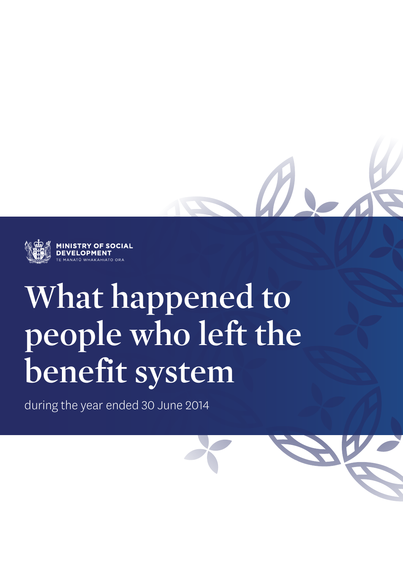

**OF SOCIAL** 

# **What happened to people who left the benefit system**

during the year ended 30 June 2014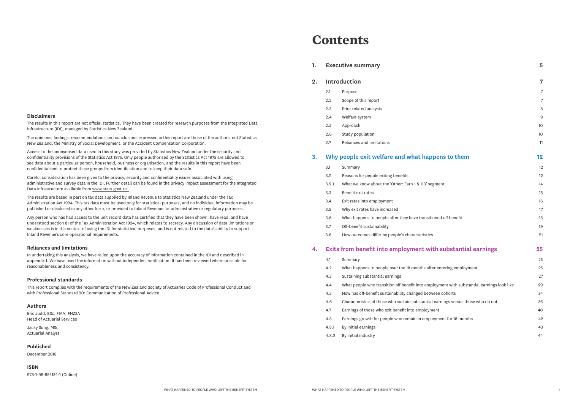#### **1. Executive summary 5**

#### **2. Introduction 7**

- 
- 2.2 Scope of this report
- 2.3 Prior related analysis
- 2.4 Welfare system
- 
- 2.6 Study population
- 2.7 Reliances and limitations

#### **3. Why people exit welfare and what happens to Why people exit welfare and what happens**

- 
- 3.2 Reasons for people exiting benefits
- 3.2.1 What we know about the 'Other: Earn < \$100's
- 3.3 Benefit exit rates
- 3.4 Exit rates into employment
- 3.5 Why exit rates have increased
- 3.6 What happens to people after they have transition
- 3.7 Off-benefit sustainability
- 3.8 How outcomes differ by people's characteristic

#### **4. Exits from benefit into employment with substantial example.**

4.2 What happens to people over the 18 months at 4.3 Sustaining substantial earnings 4.4 What people who transition off benefit into em 4.5 How has off-benefit sustainability changed bet 4.6 Characteristics of those who sustain substantial 4.7 Earnings of those who exit benefit into employ 4.8 Earnings growth for people who remain in emp 4.8.1 By initial earnings 4.8.2 By initial industry

|       | <b>Executive summary</b>                                                                   | 5  |
|-------|--------------------------------------------------------------------------------------------|----|
|       | <b>Introduction</b>                                                                        | 7  |
| 2.1   | Purpose                                                                                    | 7  |
| 2.2   | Scope of this report                                                                       | 7  |
| 2.3   | Prior related analysis                                                                     | 8  |
| 2.4   | Welfare system                                                                             | 9  |
| 2.5   | Approach                                                                                   | 10 |
| 2.6   | Study population                                                                           | 10 |
| 2.7   | Reliances and limitations                                                                  | 11 |
|       | Why people exit welfare and what happens to them                                           | 12 |
| 3.1   | Summary                                                                                    | 12 |
| 3.2   | Reasons for people exiting benefits                                                        | 12 |
| 3.2.1 | What we know about the 'Other: Earn < \$100' segment                                       | 14 |
| 3.3   | Benefit exit rates                                                                         | 15 |
| 3.4   | Exit rates into employment                                                                 | 16 |
| 3.5   | Why exit rates have increased                                                              | 17 |
| 3.6   | What happens to people after they have transitioned off benefit                            | 18 |
| 3.7   | Off-benefit sustainability                                                                 | 19 |
| 3.8   | How outcomes differ by people's characteristics                                            | 21 |
|       | <b>Exits from benefit into employment with substantial earnings</b>                        | 25 |
| 4.1   | Summary                                                                                    | 25 |
| 4.2   | What happens to people over the 18 months after entering employment                        | 25 |
| 4.3   | Sustaining substantial earnings                                                            | 27 |
| 4.4   | What people who transition off benefit into employment with substantial earnings look like | 29 |
| 4.5   | How has off-benefit sustainability changed between cohorts                                 | 34 |
| 4.6   | Characteristics of those who sustain substantial earnings versus those who do not          | 36 |
| 4.7   | Earnings of those who exit benefit into employment                                         | 40 |
| 4.8   | Earnings growth for people who remain in employment for 18 months                          | 42 |
| 4.8.1 | By initial earnings                                                                        | 43 |
| 4.8.2 | By initial industry                                                                        | 44 |

# **Contents**

#### **Disclaimers**

The results in this report are not official statistics. They have been created for research purposes from the Integrated Data Infrastructure (IDI), managed by Statistics New Zealand.

The opinions, findings, recommendations and conclusions expressed in this report are those of the authors, not Statistics New Zealand, the Ministry of Social Development, or the Accident Compensation Corporation.

Access to the anonymised data used in this study was provided by Statistics New Zealand under the security and confidentiality provisions of the Statistics Act 1975. Only people authorised by the Statistics Act 1975 are allowed to see data about a particular person, household, business or organisation, and the results in this report have been confidentialised to protect these groups from identification and to keep their data safe.

Careful consideration has been given to the privacy, security and confidentiality issues associated with using administrative and survey data in the IDI. Further detail can be found in the privacy impact assessment for the Integrated Data Infrastructure available from www.stats.govt.nz.

The results are based in part on tax data supplied by Inland Revenue to Statistics New Zealand under the Tax Administration Act 1994. This tax data must be used only for statistical purposes, and no individual information may be published or disclosed in any other form, or provided to Inland Revenue for administrative or regulatory purposes.

Any person who has had access to the unit record data has certified that they have been shown, have read, and have understood section 81 of the Tax Administration Act 1994, which relates to secrecy. Any discussion of data limitations or weaknesses is in the context of using the IDI for statistical purposes, and is not related to the data's ability to support Inland Revenue's core operational requirements.

#### **Reliances and limitations**

In undertaking this analysis, we have relied upon the accuracy of information contained in the IDI and described in appendix 1. We have used the information without independent verification. It has been reviewed where possible for reasonableness and consistency.

#### **Professional standards**

This report complies with the requirements of the New Zealand Society of Actuaries Code of Professional Conduct and with Professional Standard 90: Communication of Professional Advice.

#### **Authors**

Eric Judd, BSc, FIAA, FNZSA Head of Actuarial Services

Jacky Sung, MSc Actuarial Analyst

#### **Published**

December 2018

**ISBN** 978-1-98-854134-1 (Online)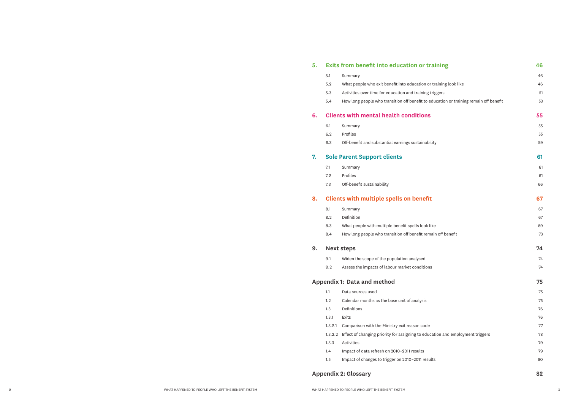### **5. Exits from benefit into education or training**

- 
- 5.2 What people who exit benefit into education or
- 5.3 Activities over time for education and training train
- 5.4 How long people who transition off benefit to education

#### **6. Clients with mental health conditions 55**

- 
- 
- 6.3 Off-benefit and substantial earnings sustainabil

### **7. Sole Parent Support clients 61**

- 
- 
- 7.3 Off-benefit sustainability

### **8. Clients with multiple spells on benefit 67**

- 
- 
- 8.3 What people with multiple benefit spells look lil
- 8.4 How long people who transition off benefit remains

|         | <b>Exits from benefit into education or training</b>                                   | 46 |
|---------|----------------------------------------------------------------------------------------|----|
| 5.1     | Summary                                                                                | 46 |
| 5.2     | What people who exit benefit into education or training look like                      | 46 |
| 5.3     | Activities over time for education and training triggers                               | 51 |
| 5.4     | How long people who transition off benefit to education or training remain off benefit | 53 |
|         | <b>Clients with mental health conditions</b>                                           | 55 |
| 6.1     | Summary                                                                                | 55 |
| 6.2     | Profiles                                                                               | 55 |
| 6.3     | Off-benefit and substantial earnings sustainability                                    | 59 |
|         | <b>Sole Parent Support clients</b>                                                     | 61 |
| 7.1     | Summary                                                                                | 61 |
| 7.2     | Profiles                                                                               | 61 |
| 7.3     | Off-benefit sustainability                                                             | 66 |
|         | <b>Clients with multiple spells on benefit</b>                                         | 67 |
| 8.1     | Summary                                                                                | 67 |
| 8.2     | Definition                                                                             | 67 |
| 8.3     | What people with multiple benefit spells look like                                     | 69 |
| 8.4     | How long people who transition off benefit remain off benefit                          | 73 |
|         | <b>Next steps</b>                                                                      | 74 |
| 9.1     | Widen the scope of the population analysed                                             | 74 |
| 9.2     | Assess the impacts of labour market conditions                                         | 74 |
|         | ndix 1: Data and method:                                                               | 75 |
| 1.1     | Data sources used                                                                      | 75 |
| 1.2     | Calendar months as the base unit of analysis                                           | 75 |
| 1.3     | Definitions                                                                            | 76 |
| 1.3.1   | Exits                                                                                  | 76 |
| 1.3.2.1 | Comparison with the Ministry exit reason code                                          | 77 |
| 1.3.2.2 | Effect of changing priority for assigning to education and employment triggers         | 78 |
| 1.3.3   | Activities                                                                             | 79 |
| 1.4     | Impact of data refresh on 2010-2011 results                                            | 79 |
| $1.5\,$ | Impact of changes to trigger on 2010-2011 results                                      | 80 |
|         | ndix 2: Glossary:                                                                      | 82 |

#### **9. Next steps 74**

- 9.1 Widen the scope of the population analysed
- 9.2 Assess the impacts of labour market conditions

### **Appendix 1: Data and method 75**

- 1.1 Data sources used
- 1.2 Calendar months as the base unit of analysis
- 
- 
- 1.3.2.1 Comparison with the Ministry exit reason code
- 1.3.2.2 Effect of changing priority for assigning to education.
	-
- 1.4 Impact of data refresh on 2010-2011 results
- 1.5 Impact of changes to trigger on 2010-2011 result

#### **Appendix 2: Glossary 82**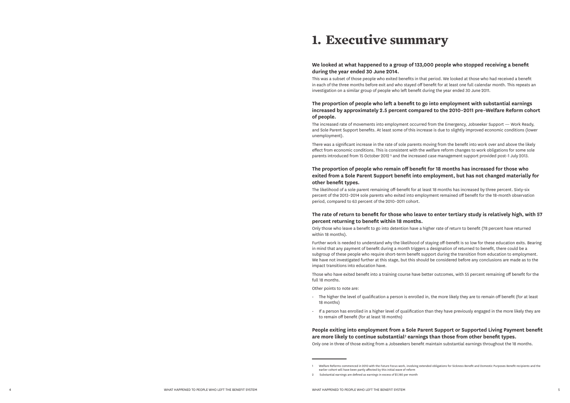# **1. Executive summary**

#### **We looked at what happened to a group of 133,000 people who stopped receiving a benefit during the year ended 30 June 2014.**

This was a subset of those people who exited benefits in that period. We looked at those who had received a benefit in each of the three months before exit and who stayed off benefit for at least one full calendar month. This repeats an investigation on a similar group of people who left benefit during the year ended 30 June 2011.

There was a significant increase in the rate of sole parents moving from the benefit into work over and above the likely effect from economic conditions. This is consistent with the welfare reform changes to work obligations for some sole parents introduced from 15 October 2012<sup>1</sup> and the increased case management support provided post-1 July 2013.

#### **The proportion of people who left a benefit to go into employment with substantial earnings increased by approximately 2.5 percent compared to the 2010–2011 pre–Welfare Reform cohort of people.**

The increased rate of movements into employment occurred from the Emergency, Jobseeker Support — Work Ready, and Sole Parent Support benefits. At least some of this increase is due to slightly improved economic conditions (lower unemployment).

#### **The proportion of people who remain off benefit for 18 months has increased for those who exited from a Sole Parent Support benefit into employment, but has not changed materially for other benefit types.**

The likelihood of a sole parent remaining off-benefit for at least 18 months has increased by three percent. Sixty-six percent of the 2013–2014 sole parents who exited into employment remained off benefit for the 18-month observation period, compared to 63 percent of the 2010–2011 cohort.

#### **The rate of return to benefit for those who leave to enter tertiary study is relatively high, with 57 percent returning to benefit within 18 months.**

Only those who leave a benefit to go into detention have a higher rate of return to benefit (78 percent have returned within 18 months).

Further work is needed to understand why the likelihood of staying off-benefit is so low for these education exits. Bearing in mind that any payment of benefit during a month triggers a designation of returned to benefit, there could be a subgroup of these people who require short-term benefit support during the transition from education to employment. We have not investigated further at this stage, but this should be considered before any conclusions are made as to the impact transitions into education have.

Those who have exited benefit into a training course have better outcomes, with 55 percent remaining off benefit for the full 18 months.

Other points to note are:

- The higher the level of qualification a person is enrolled in, the more likely they are to remain off benefit (for at least 18 months)
- If a person has enrolled in a higher level of qualification than they have previously engaged in the more likely they are to remain off benefit (for at least 18 months)

**People exiting into employment from a Sole Parent Support or Supported Living Payment benefit are more likely to continue substantial** 2 **earnings than those from other benefit types.**

Only one in three of those exiting from a Jobseekers benefit maintain substantial earnings throughout the 18 months. 1 Welfare Reforms commenced in 2010 with the Future Focus work, involving extended obligations for Sickness Benefit and Domestic Purposes Benefit recipients and the

earlier cohort will have been partly affected by this initial wave of reform

<sup>2</sup> Substantial earnings are defined as earnings in excess of \$1,180 per month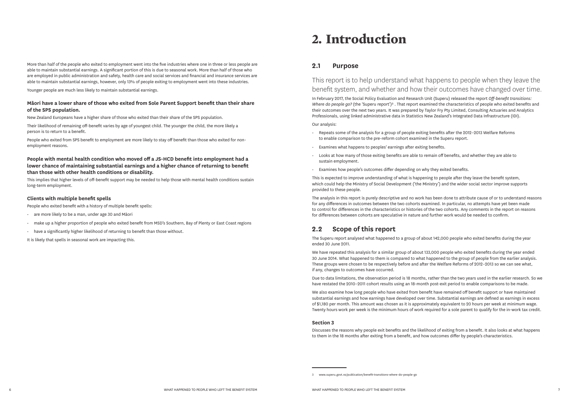More than half of the people who exited to employment went into the five industries where one in three or less people are able to maintain substantial earnings. A significant portion of this is due to seasonal work. More than half of those who are employed in public administration and safety, health care and social services and financial and insurance services are able to maintain substantial earnings, however, only 13% of people exiting to employment went into these industries.

Younger people are much less likely to maintain substantial earnings.

#### **Māori have a lower share of those who exited from Sole Parent Support benefit than their share of the SPS population.**

New Zealand Europeans have a higher share of those who exited than their share of the SPS population.

Their likelihood of remaining off-benefit varies by age of youngest child. The younger the child, the more likely a person is to return to a benefit.

People who exited from SPS benefit to employment are more likely to stay off benefit than those who exited for nonemployment reasons.

#### **People with mental health condition who moved off a JS-HCD benefit into employment had a lower chance of maintaining substantial earnings and a higher chance of returning to benefit than those with other health conditions or disability.**

This implies that higher levels of off-benefit support may be needed to help those with mental health conditions sustain long-term employment.

#### **Clients with multiple benefit spells**

People who exited benefit with a history of multiple benefit spells:

- are more likely to be a man, under age 30 and Māori
- make up a higher proportion of people who exited benefit from MSD's Southern, Bay of Plenty or East Coast regions
- have a significantly higher likelihood of returning to benefit than those without.

It is likely that spells in seasonal work are impacting this.

# **2. Introduction**

### **2.1 Purpose**

This report is to help understand what happens to people when they leave the benefit system, and whether and how their outcomes have changed over time.

In February 2017, the Social Policy Evaluation and Research Unit (Superu) released the report *Off-benefit transitions: Where do people go?* (the 'Superu report')<sup>3</sup>. That report examined the characteristics of people who exited benefits and their outcomes over the next two years. It was prepared by Taylor Fry Pty Limited, Consulting Actuaries and Analytics Professionals, using linked administrative data in Statistics New Zealand's Integrated Data Infrastructure (IDI).

Our analysis:

- Repeats some of the analysis for a group of people exiting benefits after the 2012–2013 Welfare Reforms to enable comparison to the pre-reform cohort examined in the Superu report.
- Examines what happens to peoples' earnings after exiting benefits.
- Looks at how many of those exiting benefits are able to remain off benefits, and whether they are able to sustain employment.
- Examines how people's outcomes differ depending on why they exited benefits.

This is expected to improve understanding of what is happening to people after they leave the benefit system, which could help the Ministry of Social Development ('the Ministry') and the wider social sector improve supports provided to these people.

The analysis in this report is purely descriptive and no work has been done to attribute cause of or to understand reasons for any differences in outcomes between the two cohorts examined. In particular, no attempts have yet been made to control for differences in the characteristics or histories of the two cohorts. Any comments in the report on reasons for differences between cohorts are speculative in nature and further work would be needed to confirm.

### **2.2 Scope of this report**

The Superu report analysed what happened to a group of about 142,000 people who exited benefits during the year ended 30 June 2011.

We have repeated this analysis for a similar group of about 133,000 people who exited benefits during the year ended 30 June 2014. What happened to them is compared to what happened to the group of people from the earlier analysis. These groups were chosen to be respectively before and after the Welfare Reforms of 2012–2013 so we can see what, if any, changes to outcomes have occurred.

Due to data limitations, the observation period is 18 months, rather than the two years used in the earlier research. So we have restated the 2010–2011 cohort results using an 18-month post-exit period to enable comparisons to be made.

We also examine how long people who have exited from benefit have remained off benefit support or have maintained substantial earnings and how earnings have developed over time. Substantial earnings are defined as earnings in excess of \$1,180 per month. This amount was chosen as it is approximately equivalent to 20 hours per week at minimum wage. Twenty hours work per week is the minimum hours of work required for a sole parent to qualify for the in-work tax credit.

#### **Section 3**

Discusses the reasons why people exit benefits and the likelihood of exiting from a benefit. It also looks at what happens to them in the 18 months after exiting from a benefit, and how outcomes differ by people's characteristics.

<sup>3</sup> www.superu.govt.nz/publication/benefit-transitions-where-do-people-go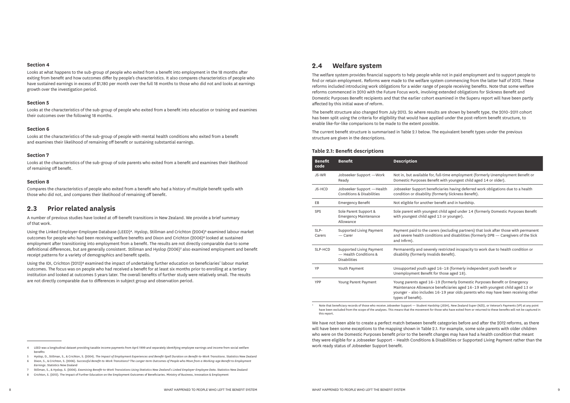for, full-time employment (formerly Unemployment Benefit or Benefit with youngest child aged 14 or older).

eneficiaries having deferred work obligations due to a health v (formerly Sickness Benefit).

er benefit and in hardship.

ngest child aged under 14 (formerly Domestic Purposes Benefit aged 13 or younger).

carers (excluding partners) that look after those with permanent inditions and disabilities (formerly DPB — Caregivers of the Sick

erely restricted incapacity to work due to health condition or nvalids Benefit).

ged 16–18 (formerly independent youth benefit or fit for those aged 18).

16–19 (formerly Domestic Purposes Benefit or Emergency  $\alpha$  have beneficiaries aged 16–19 with youngest child aged 13 or des 16-19 year olds parents who may have been receiving other

#### **Section 4**

Looks at what happens to the sub-group of people who exited from a benefit into employment in the 18 months after exiting from benefit and how outcomes differ by people's characteristics. It also compares characteristics of people who have sustained earnings in excess of \$1,180 per month over the full 18 months to those who did not and looks at earnings growth over the investigation period.

#### **Section 5**

Looks at the characteristics of the sub-group of people who exited from a benefit into education or training and examines their outcomes over the following 18 months.

#### **Section 6**

Looks at the characteristics of the sub-group of people with mental health conditions who exited from a benefit and examines their likelihood of remaining off benefit or sustaining substantial earnings.

#### **Section 7**

Looks at the characteristics of the sub-group of sole parents who exited from a benefit and examines their likelihood of remaining off benefit.

#### **Section 8**

Compares the characteristics of people who exited from a benefit who had a history of multiple benefit spells with those who did not, and compares their likelihood of remaining off benefit.

#### **2.3 Prior related analysis**

A number of previous studies have looked at off-benefit transitions in New Zealand. We provide a brief summary of that work.

Using the Linked Employer-Employee Database (LEED)4. Hyslop, Stillman and Crichton (2004)5 examined labour market outcomes for people who had been receiving welfare benefits and Dixon and Crichton (2006)<sup>6</sup> looked at sustained employment after transitioning into employment from a benefit. The results are not directly comparable due to some definitional differences, but are generally consistent. Stillman and Hyslop (2006)7 also examined employment and benefit receipt patterns for a variety of demographics and benefit spells.

Using the IDI, Crichton (2013)8 examined the impact of undertaking further education on beneficiaries' labour market outcomes. The focus was on people who had received a benefit for at least six months prior to enrolling at a tertiary institution and looked at outcomes 5 years later. The overall benefits of further study were relatively small. The results are not directly comparable due to differences in subject group and observation period.

Note that beneficiary records of those who receive Jobseeker Support — Student Hardship (JSSH), New Zealand Super (NZS), or Veteran's Payments (VP) at any point have been excluded from the scope of the analyses. This means that the movement for those who have exited from or returned to these benefits will not be captured in this report.

#### **2.4 Welfare system**

The welfare system provides financial supports to help people while not in paid employment and to support people to find or retain employment. Reforms were made to the welfare system commencing from the latter half of 2012. These reforms included introducing work obligations for a wider range of people receiving benefits. Note that some welfare reforms commenced in 2010 with the Future Focus work, involving extended obligations for Sickness Benefit and Domestic Purposes Benefit recipients and that the earlier cohort examined in the Superu report will have been partly affected by this initial wave of reform.

The benefit structure also changed from July 2013. So where results are shown by benefit type, the 2010–2011 cohort has been split using the criteria for eligibility that would have applied under the post-reform benefit structure, to enable like-for-like comparisons to be made to the extent possible.

The current benefit structure is summarised in Table 2.1 below. The equivalent benefit types under the previous structure are given in the descriptions.

#### **Table 2.1: Benefit descriptions**

| <b>Benefit</b><br>code | <b>Benefit</b>                                                           | <b>Description</b>                                                                         |
|------------------------|--------------------------------------------------------------------------|--------------------------------------------------------------------------------------------|
| JS-WR                  | Jobseeker Support - Work<br>Ready                                        | Not in, but available f<br>Domestic Purposes B                                             |
| JS-HCD                 | Jobseeker Support -Health<br><b>Conditions &amp; Disabilities</b>        | Jobseeker Support be<br>condition or disability                                            |
| EB                     | <b>Emergency Benefit</b>                                                 | Not eligible for anoth                                                                     |
| <b>SPS</b>             | Sole Parent Support &<br><b>Emergency Maintenance</b><br>Allowance       | Sole parent with your<br>with youngest child a                                             |
| SLP-<br>Carers         | Supported Living Payment<br>$-$ Carer                                    | Payment paid to the o<br>and severe health cor<br>and Infirm).                             |
| SLP-HCD                | Supported Living Payment<br>— Health Conditions &<br><b>Disabilities</b> | Permanently and seve<br>disability (formerly In                                            |
| YP                     | Youth Payment                                                            | Unsupported youth a<br><b>Unemployment Benef</b>                                           |
| <b>YPP</b>             | Young Parent Payment                                                     | Young parents aged 1<br>Maintenance Allowan<br>younger - also includ<br>types of benefit). |

We have not been able to create a perfect match between benefit categories before and after the 2012 reforms, as there will have been some exceptions to the mapping shown in Table 2.1. For example, some sole parents with older children who were on the Domestic Purposes benefit prior to the benefit changes may have had a health condition that meant they were eligible for a Jobseeker Support – Health Conditions & Disabilities or Supported Living Payment rather than the work ready status of Jobseeker Support benefit.

<sup>4</sup> LEED was a longitudinal dataset providing taxable income payments from April 1999 and separately identifying employee earnings and income from social welfare benefits

<sup>5</sup> Hyslop, D., Stillman, S., & Crichton, S. (2004). *The Impact of Employment Experiences and Benefit-Spell Duration on Benefit-to-Work Transitions*. Statistics New Zealand 6 Dixon, S., & Crichton, S. (2006). S*uccessful Benefit-to-Work Transitions? The Longer-term Outcomes of People who Move from a Working-age Benefit to Employment Earnings*. Statistics New Zealand

<sup>7</sup> Stillman, S., & Hyslop, S. (2006). *Examining Benefit-to-Work Transistions Using Statistics New Zealand's Linked Employer-Employee Data*. Statistics New Zealand

<sup>8</sup> Crichton, S. (2013). The Impact of Further Education on the Employment Outcomes of Beneficiaries. Ministry of Business, Innovation & Employment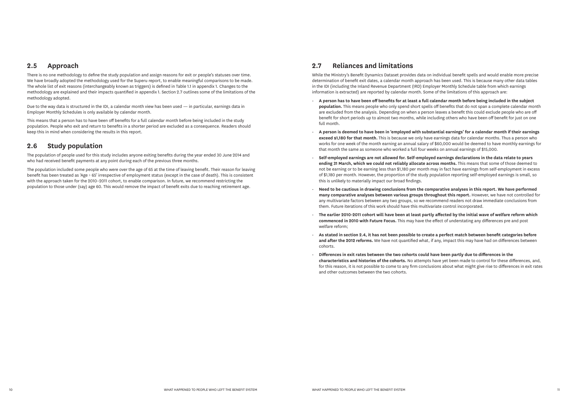### **2.5 Approach**

There is no one methodology to define the study population and assign reasons for exit or people's statuses over time. We have broadly adopted the methodology used for the Superu report, to enable meaningful comparisons to be made. The whole list of exit reasons (interchangeably known as triggers) is defined in Table 1.1 in appendix 1. Changes to the methodology are explained and their impacts quantified in appendix 1. Section 2.7 outlines some of the limitations of the methodology adopted.

Due to the way data is structured in the IDI, a calendar month view has been used — in particular, earnings data in Employer Monthly Schedules is only available by calendar month.

This means that a person has to have been off benefits for a full calendar month before being included in the study population. People who exit and return to benefits in a shorter period are excluded as a consequence. Readers should keep this in mind when considering the results in this report.

# **2.6 Study population**

The population of people used for this study includes anyone exiting benefits during the year ended 30 June 2014 and who had received benefit payments at any point during each of the previous three months.

The population included some people who were over the age of 65 at the time of leaving benefit. Their reason for leaving benefit has been treated as 'Age > 65' irrespective of employment status (except in the case of death). This is consistent with the approach taken for the 2010–2011 cohort, to enable comparison. In future, we recommend restricting the population to those under (say) age 60. This would remove the impact of benefit exits due to reaching retirement age.

# **2.7 Reliances and limitations**

While the Ministry's Benefit Dynamics Dataset provides data on individual benefit spells and would enable more precise determination of benefit exit dates, a calendar month approach has been used. This is because many other data tables in the IDI (including the Inland Revenue Department (IRD) Employer Monthly Schedule table from which earnings information is extracted) are reported by calendar month. Some of the limitations of this approach are:

- **A person has to have been off benefits for at least a full calendar month before being included in the subject population.** This means people who only spend short spells off benefits that do not span a complete calendar month are excluded from the analysis. Depending on when a person leaves a benefit this could exclude people who are off benefit for short periods up to almost two months, while including others who have been off benefit for just on one full month.
- **A person is deemed to have been in 'employed with substantial earnings' for a calendar month if their earnings exceed \$1,180 for that month.** This is because we only have earnings data for calendar months. Thus a person who works for one week of the month earning an annual salary of \$60,000 would be deemed to have monthly earnings for that month the same as someone who worked a full four weeks on annual earnings of \$15,000.
- **Self-employed earnings are not allowed for. Self-employed earnings declarations in the data relate to years ending 31 March, which we could not reliably allocate across months.** This means that some of those deemed to not be earning or to be earning less than \$1,180 per month may in fact have earnings from self-employment in excess of \$1,180 per month. However, the proportion of the study population reporting self-employed earnings is small, so this is unlikely to materially impact our broad findings.
- **Need to be cautious in drawing conclusions from the comparative analyses in this report. We have performed many comparative analyses between various groups throughout this report.** However, we have not controlled for any multivariate factors between any two groups, so we recommend readers not draw immediate conclusions from them. Future iterations of this work should have this multivariate control incorporated.
- **The earlier 2010-2011 cohort will have been at least partly affected by the initial wave of welfare reform which commenced in 2010 with Future Focus.** This may have the effect of understating any differences pre and post welfare reform;
- **As stated in section 2.4, it has not been possible to create a perfect match between benefit categories before and after the 2012 reforms.** We have not quantified what, if any, impact this may have had on differences between cohorts.
- **Differences in exit rates between the two cohorts could have been partly due to differences in the characteristics and histories of the cohorts.** No attempts have yet been made to control for these differences, and, for this reason, it is not possible to come to any firm conclusions about what might give rise to differences in exit rates and other outcomes between the two cohorts.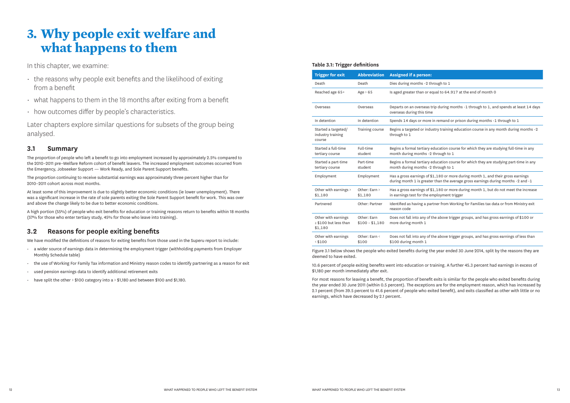hrough to 1

equal to 64.917 at the end of month 0

trip during months -1 through to 1, and spends at least 14 days

in remand or prison during months -1 through to 1

ustry training education course in any month during months -2

education course for which they are studying full-time in any 2 through to 1

education course for which they are studying part-time in any -2 through to 1

 $$1,180$  or more during month 1, and their gross earnings ter than the average gross earnings during months -2 and -1  $\overline{a}$ 

 $f$ \$1,180 or more during month 1, but do not meet the increase employment trigger

artner from Working for Families tax data or from Ministry exit

 $\bar{f}$  the above trigger groups, and has gross earnings of  $\$100$  or

f the above trigger groups, and has gross earnings of less than

# **3. Why people exit welfare and what happens to them**

In this chapter, we examine:

- the reasons why people exit benefits and the likelihood of exiting from a benefit
- $\cdot$  what happens to them in the 18 months after exiting from a benefit
- how outcomes differ by people's characteristics.

Later chapters explore similar questions for subsets of the group being analysed.

# **3.1 Summary**

The proportion of people who left a benefit to go into employment increased by approximately 2.5% compared to the 2010–2011 pre–Welfare Reform cohort of benefit leavers. The increased employment outcomes occurred from the Emergency, Jobseeker Support — Work Ready, and Sole Parent Support benefits.

The proportion continuing to receive substantial earnings was approximately three percent higher than for 2010–2011 cohort across most months.

At least some of this improvement is due to slightly better economic conditions (ie lower unemployment). There was a significant increase in the rate of sole parents exiting the Sole Parent Support benefit for work. This was over and above the change likely to be due to better economic conditions.

A high portion (55%) of people who exit benefits for education or training reasons return to benefits within 18 months (57% for those who enter tertiary study, 45% for those who leave into training).

# **3.2 Reasons for people exiting benefits**

We have modified the definitions of reasons for exiting benefits from those used in the Superu report to include:

- a wider source of earnings data in determining the employment trigger (withholding payments from Employer Monthly Schedule table)
- the use of Working For Family Tax information and Ministry reason codes to identify partnering as a reason for exit
- used pension earnings data to identify additional retirement exits
- have split the other > \$100 category into a > \$1,180 and between \$100 and \$1,180.

#### **Table 3.1: Trigger definitions**

| <b>Trigger for exit</b>                                 | <b>Abbreviation</b>            | <b>Assigned if a person:</b>                              |
|---------------------------------------------------------|--------------------------------|-----------------------------------------------------------|
| Death                                                   | Death                          | Dies during months -2 th                                  |
| Reached age 65+                                         | Age $> 65$                     | Is aged greater than or eq                                |
| Overseas                                                | Overseas                       | Departs on an overseas ti<br>overseas during this time    |
| In detention                                            | In detention                   | Spends 14 days or more                                    |
| Started a targeted/<br>industry training<br>course      | Training course                | Begins a targeted or indu<br>through to 1                 |
| Started a full-time<br>tertiary course                  | Full-time<br>student           | Begins a formal tertiary e<br>month during months -2      |
| Started a part-time<br>tertiary course                  | Part-time<br>student           | Begins a formal tertiary e<br>month during months -2      |
| Employment                                              | Employment                     | Has a gross earnings of \$<br>during month 1 is greater   |
| Other with earnings ><br>\$1,180                        | Other: Earn ><br>\$1,180       | Has a gross earnings of \$<br>in earnings test for the er |
| Partnered                                               | Other: Partner                 | Identified as having a par<br>reason code                 |
| Other with earnings<br>≥ \$100 but less than<br>\$1,180 | Other: Earn<br>$$100 - $1,180$ | Does not fall into any of t<br>more during month 1        |
| Other with earnings<br>< \$100                          | Other: Earn <<br>\$100         | Does not fall into any of t<br>\$100 during month 1       |

Figure 3.1 below shows the people who exited benefits during the year ended 30 June 2014, split by the reasons they are deemed to have exited.

10.6 percent of people exiting benefits went into education or training. A further 45.3 percent had earnings in excess of \$1,180 per month immediately after exit.

For most reasons for leaving a benefit, the proportion of benefit exits is similar for the people who exited benefits during the year ended 30 June 2011 (within 0.5 percent). The exceptions are for the employment reason, which has increased by 2.1 percent (from 39.5 percent to 41.6 percent of people who exited benefit), and exits classified as other with little or no earnings, which have decreased by 2.1 percent.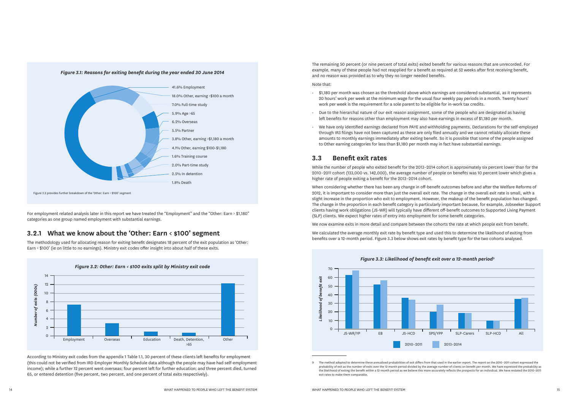The remaining 50 percent (or nine percent of total exits) exited benefit for various reasons that are unrecorded. For example, many of these people had not reapplied for a benefit as required at 52 weeks after first receiving benefit, and no reason was provided as to why they no longer needed benefits. Note that:

- \$1,180 per month was chosen as the threshold above which earnings are considered substantial, as it represents 20 hours' work per week at the minimum wage for the usual four weekly pay periods in a month. Twenty hours' work per week is the requirement for a sole parent to be eligible for in-work tax credits.
- Due to the hierarchal nature of our exit reason assignment, some of the people who are designated as having left benefits for reasons other than employment may also have earnings in excess of \$1,180 per month.
- We have only identified earnings declared from PAYE and withholding payments. Declarations for the self-employed through IR3 filings have not been captured as these are only filed annually and we cannot reliably allocate these amounts to monthly earnings immediately after exiting benefit. So it is possible that some of the people assigned to Other earning categories for less than \$1,180 per month may in fact have substantial earnings.

# **3.3 Benefit exit rates**

While the number of people who exited benefit for the 2013–2014 cohort is approximately six percent lower than for the 2010–2011 cohort (133,000 vs. 142,000), the average number of people on benefits was 10 percent lower which gives a higher rate of people exiting a benefit for the 2013–2014 cohort.

When considering whether there has been any change in off-benefit outcomes before and after the Welfare Reforms of 2012, it is important to consider more than just the overall exit rate. The change in the overall exit rate is small, with a slight increase in the proportion who exit to employment. However, the makeup of the benefit population has changed. The change in the proportion in each benefit category is particularly important because, for example, Jobseeker Support clients having work obligations (JS-WR) will typically have different off-benefit outcomes to Supported Living Payment (SLP) clients. We expect higher rates of entry into employment for some benefit categories.

We now examine exits in more detail and compare between the cohorts the rate at which people exit from benefit.

We calculated the average monthly exit rate by benefit type and used this to determine the likelihood of exiting from benefits over a 12-month period. Figure 3.3 below shows exit rates by benefit type for the two cohorts analysed.

9 The method adopted to determine these annualised probabilities of exit differs from that used in the earlier report. The report on the 2010–2011 cohort expressed the probability of exit as the number of exits over the 12-month period divided by the average number of clients on benefit per month. We have expressed the probability as the likelihood of exiting the benefit within a 12-month period as we believe this more accurately reflects the prospects for an individual. We have restated the 2010–2011 exit rates to make them comparable.

For employment related analysis later in this report we have treated the "Employment" and the "Other: Earn > \$1,180" categories as one group named employment with substantial earnings.

# **3.2.1 What we know about the 'Other: Earn < \$100' segment**

The methodology used for allocating reason for exiting benefit designates 18 percent of the exit population as 'Other: Earn < \$100' (ie on little to no earnings). Ministry exit codes offer insight into about half of these exits.







According to Ministry exit codes from the appendix 1 Table 1.1, 30 percent of these clients left benefits for employment (this could not be verified from IRD Employer Monthly Schedule data although the people may have had self-employment income); while a further 12 percent went overseas; four percent left for further education; and three percent died, turned 65, or entered detention (five percent, two percent, and one percent of total exits respectively).

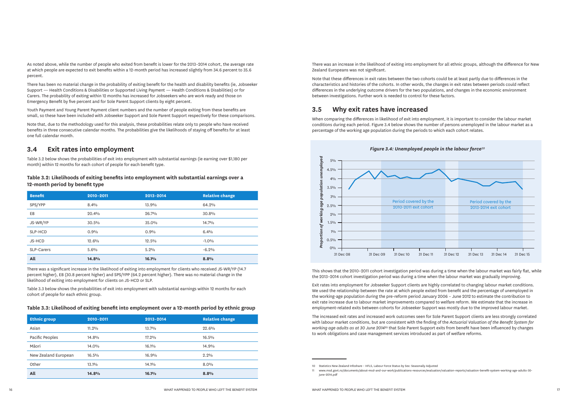As noted above, while the number of people who exited from benefit is lower for the 2013–2014 cohort, the average rate at which people are expected to exit benefits within a 12-month period has increased slightly from 34.6 percent to 35.6 percent.

There has been no material change in the probability of exiting benefit for the health and disability benefits (ie, Jobseeker Support — Health Conditions & Disabilities or Supported Living Payment — Health Conditions & Disabilities) or for Carers. The probability of exiting within 12 months has increased for Jobseekers who are work ready and those on Emergency Benefit by five percent and for Sole Parent Support clients by eight percent.

Youth Payment and Young Parent Payment client numbers and the number of people exiting from these benefits are small, so these have been included with Jobseeker Support and Sole Parent Support respectively for these comparisons.

Note that, due to the methodology used for this analysis, these probabilities relate only to people who have received benefits in three consecutive calendar months. The probabilities give the likelihoods of staying off benefits for at least one full calendar month.

## **3.4 Exit rates into employment**

Table 3.2 below shows the probabilities of exit into employment with substantial earnings (ie earning over \$1,180 per month) within 12 months for each cohort of people for each benefit type.

#### **Table 3.2: Likelihoods of exiting benefits into employment with substantial earnings over a 12-month period by benefit type**

| <b>Benefit</b>    | 2010-2011 | 2013-2014 | <b>Relative change</b> |
|-------------------|-----------|-----------|------------------------|
| SPS/YPP           | 8.4%      | 13.9%     | 64.2%                  |
| EB                | 20.4%     | 26.7%     | 30.8%                  |
| JS-WR/YP          | 30.5%     | 35.0%     | 14.7%                  |
| SLP-HCD           | 0.9%      | 0.9%      | 6.4%                   |
| JS-HCD            | 12.6%     | 12.5%     | $-1.0%$                |
| <b>SLP-Carers</b> | 5.6%      | 5.2%      | $-6.2%$                |
| All               | 14.8%     | 16.1%     | 8.8%                   |

There was a significant increase in the likelihood of exiting into employment for clients who received JS-WR/YP (14.7 percent higher), EB (30.8 percent higher) and SPS/YPP (64.2 percent higher). There was no material change in the likelihood of exiting into employment for clients on JS-HCD or SLP.

Table 3.3 below shows the probabilities of exit into employment with substantial earnings within 12 months for each cohort of people for each ethnic group.

#### **Table 3.3: Likelihood of exiting benefit into employment over a 12-month period by ethnic group**

| <b>Ethnic group</b>  | 2010-2011 | 2013-2014 | <b>Relative change</b> |
|----------------------|-----------|-----------|------------------------|
| Asian                | $11.2\%$  | 13.7%     | 22.6%                  |
| Pacific Peoples      | 14.8%     | 17.2%     | 16.5%                  |
| Māori                | 14.0%     | 16.1%     | 14.9%                  |
| New Zealand European | 16.5%     | 16.9%     | $2.2\%$                |
| Other                | 13.1%     | 14.1%     | $8.0\%$                |
| All                  | 14.8%     | 16.1%     | 8.8%                   |

There was an increase in the likelihood of exiting into employment for all ethnic groups, although the difference for New Zealand Europeans was not significant.

Note that these differences in exit rates between the two cohorts could be at least partly due to differences in the characteristics and histories of the cohorts. In other words, the changes in exit rates between periods could reflect differences in the underlying outcome drivers for the two populations, and changes in the economic environment between investigations. Further work is needed to control for these factors.

# **3.5 Why exit rates have increased**

When comparing the differences in likelihood of exit into employment, it is important to consider the labour market conditions during each period. Figure 3.4 below shows the number of persons unemployed in the labour market as a percentage of the working age population during the periods to which each cohort relates.

This shows that the 2010–2011 cohort investigation period was during a time when the labour market was fairly flat, while the 2013–2014 cohort investigation period was during a time when the labour market was gradually improving.

Exit rates into employment for Jobseeker Support clients are highly correlated to changing labour market conditions. We used the relationship between the rate at which people exited from benefit and the percentage of unemployed in the working-age population during the pre-reform period January 2006 – June 2012 to estimate the contribution to exit rate increase due to labour market improvements compared to welfare reform. We estimate that the increase in employment-related exits between cohorts for Jobseeker Support was mostly due to the improved labour market.



The increased exit rates and increased work outcomes seen for Sole Parent Support clients are less strongly correlated with labour market conditions, but are consistent with the finding of the *Actuarial Valuation of the Benefit System for working age adults as at 30 June 2014*11 that Sole Parent Support exits from benefit have been influenced by changes to work obligations and case management services introduced as part of welfare reforms.

<sup>10</sup> Statistics New Zealand Infoshare – HFLS, Labour Force Status by Sex: Seasonally Adjusted 11 www.msd.govt.nz/documents/about-msd-and-our-work/publications-resources/evaluation/valuation-reports/valuation-benefit-system-working-age-adults-30 june-2014.pdf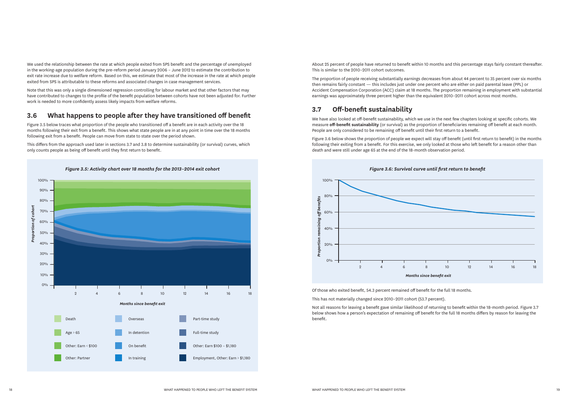We used the relationship between the rate at which people exited from SPS benefit and the percentage of unemployed in the working-age population during the pre-reform period January 2006 – June 2012 to estimate the contribution to exit rate increase due to welfare reform. Based on this, we estimate that most of the increase in the rate at which people exited from SPS is attributable to these reforms and associated changes in case management services.

Figure 3.5 below traces what proportion of the people who transitioned off a benefit are in each activity over the 18 months following their exit from a benefit. This shows what state people are in at any point in time over the 18 months following exit from a benefit. People can move from state to state over the period shown.

Note that this was only a single dimensioned regression controlling for labour market and that other factors that may have contributed to changes to the profile of the benefit population between cohorts have not been adjusted for. Further work is needed to more confidently assess likely impacts from welfare reforms.

# **3.6 What happens to people after they have transitioned off benefit**

This differs from the approach used later in sections 3.7 and 3.8 to determine sustainability (or survival) curves, which only counts people as being off benefit until they first return to benefit.



*Figure 3.5: Activity chart over 18 months for the 2013–2014 exit cohort*

About 25 percent of people have returned to benefit within 10 months and this percentage stays fairly constant thereafter. This is similar to the 2010–2011 cohort outcomes.

The proportion of people receiving substantially earnings decreases from about 44 percent to 35 percent over six months then remains fairly constant — this includes just under one percent who are either on paid parental leave (PPL) or Accident Compensation Corporation (ACC) claim at 18 months. The proportion remaining in employment with substantial earnings was approximately three percent higher than the equivalent 2010–2011 cohort across most months.



# **3.7 Off-benefit sustainability**

We have also looked at off-benefit sustainability, which we use in the next few chapters looking at specific cohorts. We measure **off-benefit sustainability** (or survival) as the proportion of beneficiaries remaining off benefit at each month. People are only considered to be remaining off benefit until their first return to a benefit.

Figure 3.6 below shows the proportion of people we expect will stay off benefit (until first return to benefit) in the months following their exiting from a benefit. For this exercise, we only looked at those who left benefit for a reason other than death and were still under age 65 at the end of the 18-month observation period.

Of those who exited benefit, 54.3 percent remained off benefit for the full 18 months.

This has not materially changed since 2010–2011 cohort (53.7 percent).

Not all reasons for leaving a benefit gave similar likelihood of returning to benefit within the 18-month period. Figure 3.7 below shows how a person's expectation of remaining off benefit for the full 18 months differs by reason for leaving the benefit.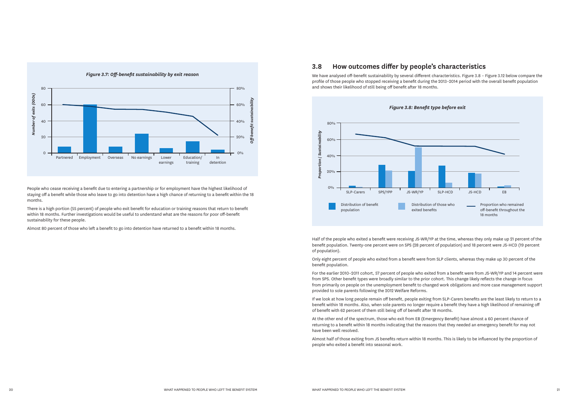

People who cease receiving a benefit due to entering a partnership or for employment have the highest likelihood of staying off a benefit while those who leave to go into detention have a high chance of returning to a benefit within the 18 months.

There is a high portion (55 percent) of people who exit benefit for education or training reasons that return to benefit within 18 months. Further investigations would be useful to understand what are the reasons for poor off-benefit sustainability for these people.

Almost 80 percent of those who left a benefit to go into detention have returned to a benefit within 18 months.

# **3.8 How outcomes differ by people's characteristics**

We have analysed off-benefit sustainability by several different characteristics. Figure 3.8 – Figure 3.12 below compare the profile of those people who stopped receiving a benefit during the 2013–2014 period with the overall benefit population and shows their likelihood of still being off benefit after 18 months.



Half of the people who exited a benefit were receiving JS-WR/YP at the time, whereas they only make up 21 percent of the benefit population. Twenty-one percent were on SPS (28 percent of population) and 18 percent were JS-HCD (19 percent of population).

Only eight percent of people who exited from a benefit were from SLP clients, whereas they make up 30 percent of the benefit population.

For the earlier 2010–2011 cohort, 57 percent of people who exited from a benefit were from JS-WR/YP and 14 percent were from SPS. Other benefit types were broadly similar to the prior cohort. This change likely reflects the change in focus from primarily on people on the unemployment benefit to changed work obligations and more case management support provided to sole parents following the 2012 Welfare Reforms.

If we look at how long people remain off benefit, people exiting from SLP-Carers benefits are the least likely to return to a benefit within 18 months. Also, when sole parents no longer require a benefit they have a high likelihood of remaining off of benefit with 62 percent of them still being off of benefit after 18 months.

At the other end of the spectrum, those who exit from EB (Emergency Benefit) have almost a 60 percent chance of returning to a benefit within 18 months indicating that the reasons that they needed an emergency benefit for may not have been well resolved.

Almost half of those exiting from JS benefits return within 18 months. This is likely to be influenced by the proportion of people who exited a benefit into seasonal work.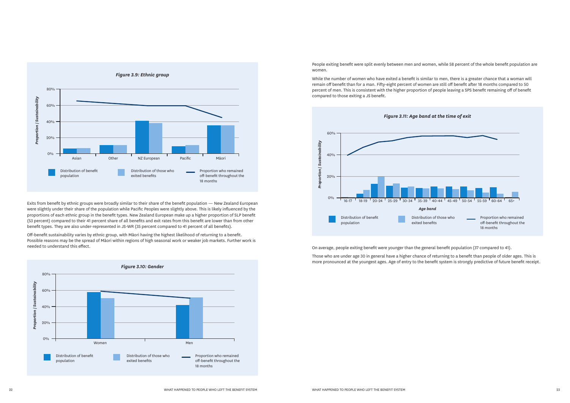



Exits from benefit by ethnic groups were broadly similar to their share of the benefit population — New Zealand European were slightly under their share of the population while Pacific Peoples were slightly above. This is likely influenced by the proportions of each ethnic group in the benefit types. New Zealand European make up a higher proportion of SLP benefit (53 percent) compared to their 41 percent share of all benefits and exit rates from this benefit are lower than from other benefit types. They are also under-represented in JS-WR (35 percent compared to 41 percent of all benefits).

Off-benefit sustainability varies by ethnic group, with Māori having the highest likelihood of returning to a benefit. Possible reasons may be the spread of Māori within regions of high seasonal work or weaker job markets. Further work is needed to understand this effect.



People exiting benefit were split evenly between men and women, while 58 percent of the whole benefit population are women.

While the number of women who have exited a benefit is similar to men, there is a greater chance that a woman will remain off benefit than for a man. Fifty-eight percent of women are still off benefit after 18 months compared to 50 percent of men. This is consistent with the higher proportion of people leaving a SPS benefit remaining off of benefit compared to those exiting a JS benefit.

On average, people exiting benefit were younger than the general benefit population (37 compared to 41).

Those who are under age 30 in general have a higher chance of returning to a benefit than people of older ages. This is more pronounced at the youngest ages. Age of entry to the benefit system is strongly predictive of future benefit receipt.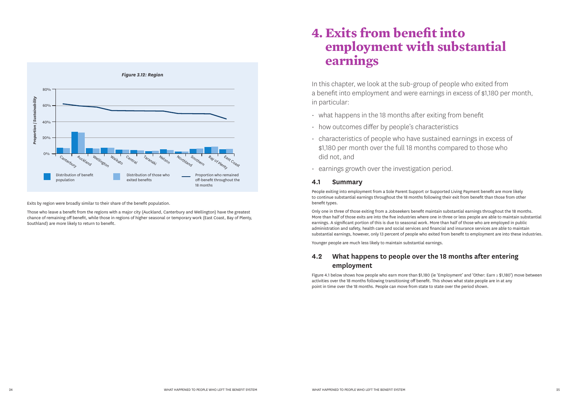

Exits by region were broadly similar to their share of the benefit population.

Those who leave a benefit from the regions with a major city (Auckland, Canterbury and Wellington) have the greatest chance of remaining off benefit, while those in regions of higher seasonal or temporary work (East Coast, Bay of Plenty, Southland) are more likely to return to benefit.

- $\cdot$  what happens in the 18 months after exiting from benefit
- how outcomes differ by people's characteristics
- characteristics of people who have sustained earnings in excess of \$1,180 per month over the full 18 months compared to those who did not, and
- earnings growth over the investigation period.

# **4. Exits from benefit into employment with substantial earnings**

In this chapter, we look at the sub-group of people who exited from a benefit into employment and were earnings in excess of \$1,180 per month, in particular:

### **4.1 Summary**

People exiting into employment from a Sole Parent Support or Supported Living Payment benefit are more likely to continue substantial earnings throughout the 18 months following their exit from benefit than those from other benefit types.

Only one in three of those exiting from a Jobseekers benefit maintain substantial earnings throughout the 18 months. More than half of those exits are into the five industries where one in three or less people are able to maintain substantial earnings. A significant portion of this is due to seasonal work. More than half of those who are employed in public administration and safety, health care and social services and financial and insurance services are able to maintain substantial earnings, however, only 13 percent of people who exited from benefit to employment are into these industries.

Younger people are much less likely to maintain substantial earnings.

# **4.2 What happens to people over the 18 months after entering employment**

Figure 4.1 below shows how people who earn more than \$1,180 (ie 'Employment' and 'Other: Earn ≥ \$1,180') move between activities over the 18 months following transitioning off benefit. This shows what state people are in at any point in time over the 18 months. People can move from state to state over the period shown.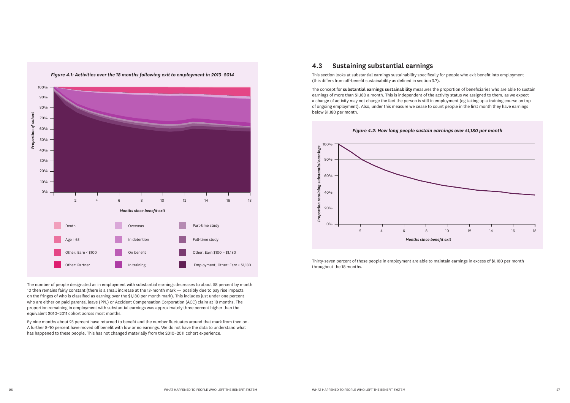*Figure 4.1: Activities over the 18 months following exit to employment in 2013–2014* 



The number of people designated as in employment with substantial earnings decreases to about 58 percent by month 10 then remains fairly constant (there is a small increase at the 13-month mark — possibly due to pay rise impacts on the fringes of who is classified as earning over the \$1,180 per month mark). This includes just under one percent who are either on paid parental leave (PPL) or Accident Compensation Corporation (ACC) claim at 18 months. The proportion remaining in employment with substantial earnings was approximately three percent higher than the equivalent 2010–2011 cohort across most months.

By nine months about 23 percent have returned to benefit and the number fluctuates around that mark from then on. A further 8–10 percent have moved off benefit with low or no earnings. We do not have the data to understand what has happened to these people. This has not changed materially from the 2010–2011 cohort experience.

## **4.3 Sustaining substantial earnings**

This section looks at substantial earnings sustainability specifically for people who exit benefit into employment (this differs from off-benefit sustainability as defined in section 3.7).

The concept for **substantial earnings sustainability** measures the proportion of beneficiaries who are able to sustain earnings of more than \$1,180 a month. This is independent of the activity status we assigned to them, as we expect a change of activity may not change the fact the person is still in employment (eg taking up a training course on top of ongoing employment). Also, under this measure we cease to count people in the first month they have earnings below \$1,180 per month.



Thirty-seven percent of those people in employment are able to maintain earnings in excess of \$1,180 per month throughout the 18 months.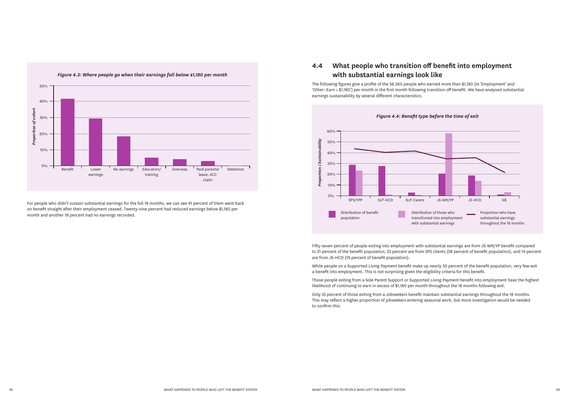

For people who didn't sustain substantial earnings for the full 18 months, we can see 41 percent of them went back on benefit straight after their employment ceased. Twenty-nine percent had reduced earnings below \$1,180 per month and another 18 percent had no earnings recorded.



# **4.4 What people who transition off benefit into employment with substantial earnings look like**

The following figures give a profile of the 58,560 people who earned more than \$1,180 (ie 'Employment' and 'Other: Earn ≥ \$1,180') per month in the first month following transition off benefit. We have analysed substantial earnings sustainability by several different characteristics.

Fifty-seven percent of people exiting into employment with substantial earnings are from JS-WR/YP benefit compared to 21 percent of the benefit population, 23 percent are from SPS clients (28 percent of benefit population), and 14 percent are from JS-HCD (19 percent of benefit population).

While people on a Supported Living Payment benefit make up nearly 30 percent of the benefit population, very few exit a benefit into employment. This is not surprising given the eligibility criteria for this benefit.

Those people exiting from a Sole Parent Support or Supported Living Payment benefit into employment have the highest likelihood of continuing to earn in excess of \$1,180 per month throughout the 18 months following exit.

Only 35 percent of those exiting from a Jobseekers benefit maintain substantial earnings throughout the 18 months. This may reflect a higher proportion of jobseekers entering seasonal work, but more investigation would be needed to confirm this.

- 
- 
-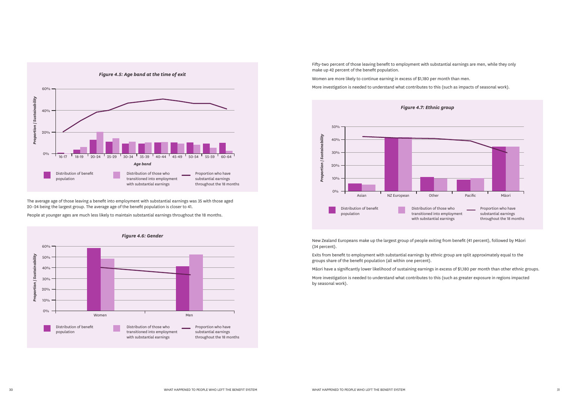

The average age of those leaving a benefit into employment with substantial earnings was 35 with those aged 20–24 being the largest group. The average age of the benefit population is closer to 41.





People at younger ages are much less likely to maintain substantial earnings throughout the 18 months.

Fifty-two percent of those leaving benefit to employment with substantial earnings are men, while they only make up 42 percent of the benefit population.

Women are more likely to continue earning in excess of \$1,180 per month than men.

More investigation is needed to understand what contributes to this (such as impacts of seasonal work).

New Zealand Europeans make up the largest group of people exiting from benefit (41 percent), followed by Māori (34 percent).

Exits from benefit to employment with substantial earnings by ethnic group are split approximately equal to the groups share of the benefit population (all within one percent).

Māori have a significantly lower likelihood of sustaining earnings in excess of \$1,180 per month than other ethnic groups.

More investigation is needed to understand what contributes to this (such as greater exposure in regions impacted by seasonal work).

- 
- 

- 
- 
-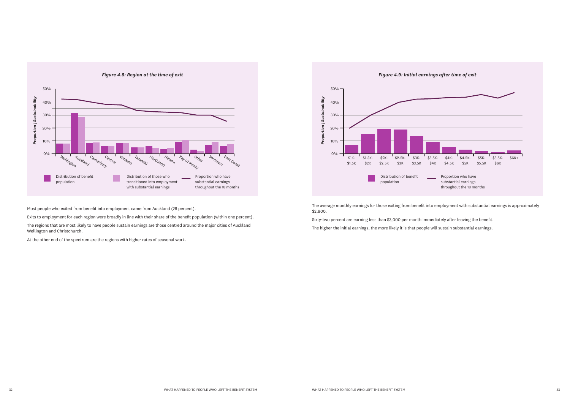

Most people who exited from benefit into employment came from Auckland (28 percent).

Exits to employment for each region were broadly in line with their share of the benefit population (within one percent).

The regions that are most likely to have people sustain earnings are those centred around the major cities of Auckland Wellington and Christchurch.



At the other end of the spectrum are the regions with higher rates of seasonal work.

The average monthly earnings for those exiting from benefit into employment with substantial earnings is approximately \$2,900.

Sixty-two percent are earning less than \$3,000 per month immediately after leaving the benefit. The higher the initial earnings, the more likely it is that people will sustain substantial earnings.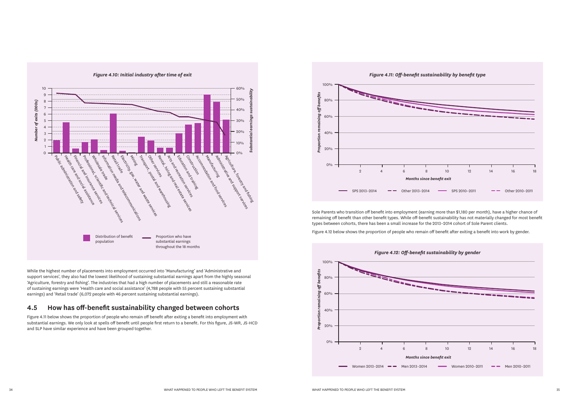*Figure 4.10: Initial industry after time of exit*

While the highest number of placements into employment occurred into 'Manufacturing' and 'Administrative and support services', they also had the lowest likelihood of sustaining substantial earnings apart from the highly seasonal 'Agriculture, forestry and fishing'. The industries that had a high number of placements and still a reasonable rate of sustaining earnings were 'Health care and social assistance' (4,788 people with 55 percent sustaining substantial earnings) and 'Retail trade' (6,072 people with 46 percent sustaining substantial earnings).

# **4.5 How has off-benefit sustainability changed between cohorts**



Figure 4.11 below shows the proportion of people who remain off benefit after exiting a benefit into employment with substantial earnings. We only look at spells off benefit until people first return to a benefit. For this figure, JS-WR, JS-HCD and SLP have similar experience and have been grouped together.



Sole Parents who transition off benefit into employment (earning more than \$1,180 per month), have a higher chance of remaining off benefit than other benefit types. While off-benefit sustainability has not materially changed for most benefit types between cohorts, there has been a small increase for the 2013–2014 cohort of Sole Parent clients.



Figure 4.12 below shows the proportion of people who remain off benefit after exiting a benefit into work by gender.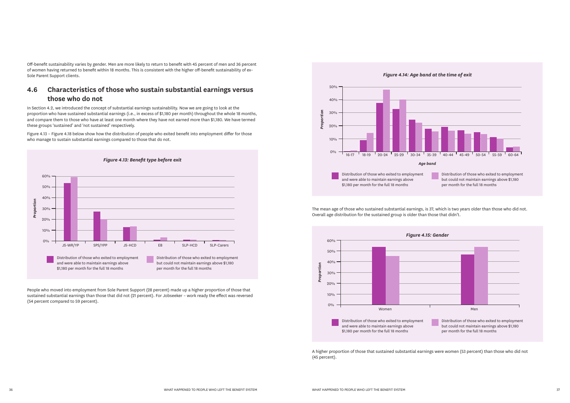Off-benefit sustainability varies by gender. Men are more likely to return to benefit with 45 percent of men and 36 percent of women having returned to benefit within 18 months. This is consistent with the higher off-benefit sustainability of ex– Sole Parent Support clients.

# **4.6 Characteristics of those who sustain substantial earnings versus those who do not**

In Section 4.2, we introduced the concept of substantial earnings sustainability. Now we are going to look at the proportion who have sustained substantial earnings (i.e., in excess of \$1,180 per month) throughout the whole 18 months, and compare them to those who have at least one month where they have not earned more than \$1,180. We have termed these groups 'sustained' and 'not sustained' respectively.

Figure 4.13 – Figure 4.18 below show how the distribution of people who exited benefit into employment differ for those who manage to sustain substantial earnings compared to those that do not.



People who moved into employment from Sole Parent Support (28 percent) made up a higher proportion of those that sustained substantial earnings than those that did not (21 percent). For Jobseeker – work ready the effect was reversed (54 percent compared to 59 percent).





The mean age of those who sustained substantial earnings, is 37, which is two years older than those who did not. Overall age distribution for the sustained group is older than those that didn't.

A higher proportion of those that sustained substantial earnings were women (53 percent) than those who did not (45 percent).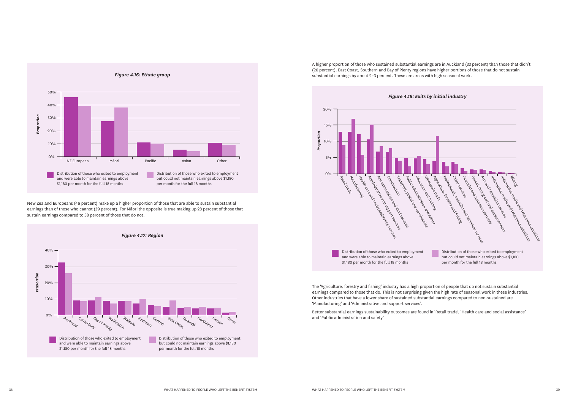



New Zealand Europeans (46 percent) make up a higher proportion of those that are able to sustain substantial earnings than of those who cannot (39 percent). For Māori the opposite is true making up 28 percent of those that sustain earnings compared to 38 percent of those that do not.

A higher proportion of those who sustained substantial earnings are in Auckland (33 percent) than those that didn't (26 percent). East Coast, Southern and Bay of Plenty regions have higher portions of those that do not sustain substantial earnings by about 2–3 percent. These are areas with high seasonal work.



The 'Agriculture, forestry and fishing' industry has a high proportion of people that do not sustain substantial earnings compared to those that do. This is not surprising given the high rate of seasonal work in these industries. Other industries that have a lower share of sustained substantial earnings compared to non-sustained are 'Manufacturing' and 'Administrative and support services'.

Better substantial earnings sustainability outcomes are found in 'Retail trade', 'Health care and social assistance' and 'Public administration and safety'.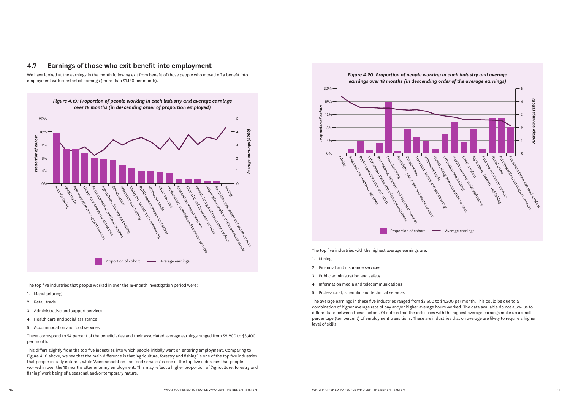

### **4.7 Earnings of those who exit benefit into employment**

We have looked at the earnings in the month following exit from benefit of those people who moved off a benefit into employment with substantial earnings (more than \$1,180 per month).

The top five industries that people worked in over the 18-month investigation period were:

- 1. Manufacturing
- 2. Retail trade
- 3. Administrative and support services
- 4. Health care and social assistance
- 5. Accommodation and food services

These correspond to 54 percent of the beneficiaries and their associated average earnings ranged from \$2,200 to \$3,400 per month.

This differs slightly from the top five industries into which people initially went on entering employment. Comparing to Figure 4.10 above, we see that the main difference is that 'Agriculture, forestry and fishing' is one of the top five industries that people initially entered, while 'Accommodation and food services' is one of the top five industries that people worked in over the 18 months after entering employment. This may reflect a higher proportion of 'Agriculture, forestry and fishing' work being of a seasonal and/or temporary nature.



The top five industries with the highest average earnings are:

- 1. Mining
- 2. Financial and insurance services
- 3. Public administration and safety
- 4. Information media and telecommunications
- 5. Professional, scientific and technical services

The average earnings in these five industries ranged from \$3,500 to \$4,300 per month. This could be due to a combination of higher average rate of pay and/or higher average hours worked. The data available do not allow us to differentiate between these factors. Of note is that the industries with the highest average earnings make up a small percentage (ten percent) of employment transitions. These are industries that on average are likely to require a higher level of skills.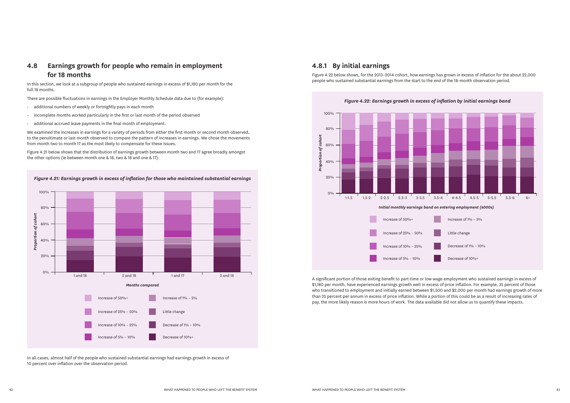# **4.8 Earnings growth for people who remain in employment for 18 months**

In this section, we look at a subgroup of people who sustained earnings in excess of \$1,180 per month for the full 18 months.

There are possible fluctuations in earnings in the Employer Monthly Schedule data due to (for example):

- additional numbers of weekly or fortnightly pays in each month
- incomplete months worked particularly in the first or last month of the period observed
- additional accrued leave payments in the final month of employment.

We examined the increases in earnings for a variety of periods from either the first month or second month observed, to the penultimate or last month observed to compare the pattern of increases in earnings. We chose the movements from month two to month 17 as the most likely to compensate for these issues.

Figure 4.21 below shows that the distribution of earnings growth between month two and 17 agree broadly amongst the other options (ie between month one & 18, two & 18 and one & 17).

![](_page_22_Figure_8.jpeg)

### **4.8.1 By initial earnings**

![](_page_22_Figure_12.jpeg)

Figure 4.22 below shows, for the 2013–2014 cohort, how earnings has grown in excess of inflation for the about 22,000 people who sustained substantial earnings from the start to the end of the 18-month observation period.

A significant portion of those exiting benefit to part-time or low wage employment who sustained earnings in excess of \$1,180 per month, have experienced earnings growth well in excess of price inflation. For example, 35 percent of those who transitioned to employment and initially earned between \$1,500 and \$2,000 per month had earnings growth of more than 25 percent per annum in excess of price inflation. While a portion of this could be as a result of increasing rates of pay, the more likely reason is more hours of work. The data available did not allow us to quantify these impacts.

![](_page_22_Figure_17.jpeg)

In all cases, almost half of the people who sustained substantial earnings had earnings growth in excess of 10 percent over inflation over the observation period.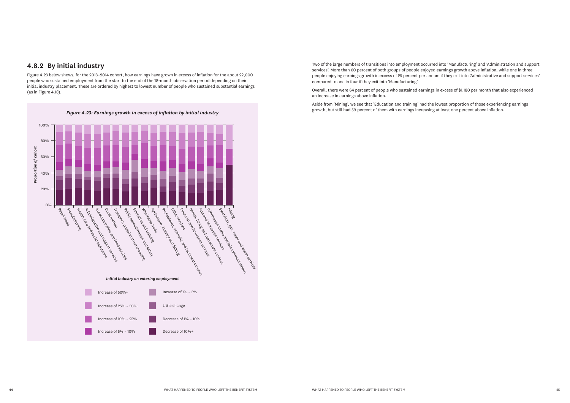# **4.8.2 By initial industry**

Figure 4.23 below shows, for the 2013–2014 cohort, how earnings have grown in excess of inflation for the about 22,000 people who sustained employment from the start to the end of the 18-month observation period depending on their initial industry placement. These are ordered by highest to lowest number of people who sustained substantial earnings (as in Figure 4.18).

![](_page_23_Figure_2.jpeg)

Two of the large numbers of transitions into employment occurred into 'Manufacturing' and 'Administration and support services'. More than 60 percent of both groups of people enjoyed earnings growth above inflation, while one in three people enjoying earnings growth in excess of 25 percent per annum if they exit into 'Administrative and support services' compared to one in four if they exit into 'Manufacturing'.

Overall, there were 64 percent of people who sustained earnings in excess of \$1,180 per month that also experienced an increase in earnings above inflation.

Aside from 'Mining', we see that 'Education and training' had the lowest proportion of those experiencing earnings growth, but still had 59 percent of them with earnings increasing at least one percent above inflation.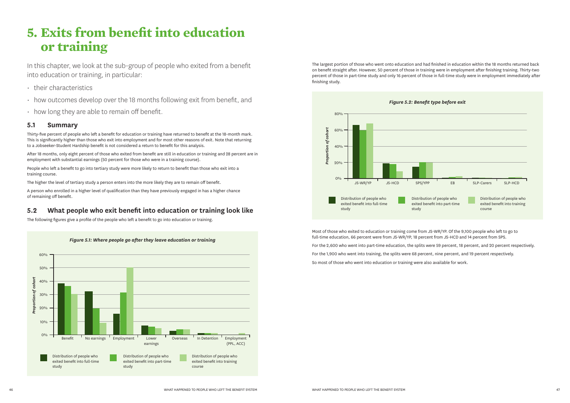# **5. Exits from benefit into education or training**

In this chapter, we look at the sub-group of people who exited from a benefit into education or training, in particular:

- their characteristics
- how outcomes develop over the 18 months following exit from benefit, and
- how long they are able to remain off benefit.

### **5.1 Summary**

Thirty-five percent of people who left a benefit for education or training have returned to benefit at the 18-month mark. This is significantly higher than those who exit into employment and for most other reasons of exit. Note that returning to a Jobseeker-Student Hardship benefit is not considered a return to benefit for this analysis.

![](_page_24_Figure_13.jpeg)

After 18 months, only eight percent of those who exited from benefit are still in education or training and 28 percent are in employment with substantial earnings (50 percent for those who were in a training course).

People who left a benefit to go into tertiary study were more likely to return to benefit than those who exit into a training course.

The higher the level of tertiary study a person enters into the more likely they are to remain off benefit.

A person who enrolled in a higher level of qualification than they have previously engaged in has a higher chance of remaining off benefit.

# **5.2 What people who exit benefit into education or training look like**

The following figures give a profile of the people who left a benefit to go into education or training.

The largest portion of those who went onto education and had finished in education within the 18 months returned back on benefit straight after. However, 50 percent of those in training were in employment after finishing training. Thirty-two percent of those in part-time study and only 16 percent of those in full-time study were in employment immediately after finishing study.

![](_page_24_Figure_15.jpeg)

Most of those who exited to education or training come from JS-WR/YP. Of the 9,100 people who left to go to full-time education, 66 percent were from JS-WR/YP, 18 percent from JS-HCD and 14 percent from SPS.

For the 2,600 who went into part-time education, the splits were 59 percent, 18 percent, and 20 percent respectively.

For the 1,900 who went into training, the splits were 68 percent, nine percent, and 19 percent respectively.

So most of those who went into education or training were also available for work.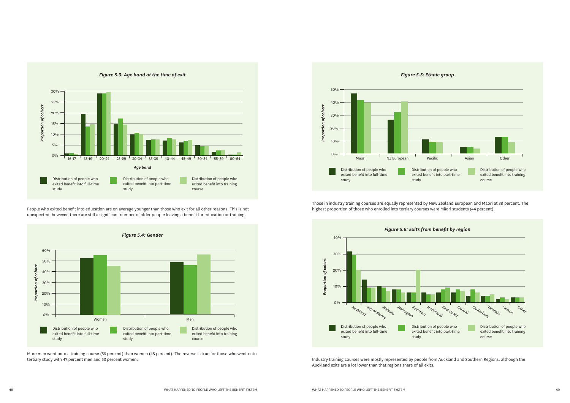*Figure 5.3: Age band at the time of exit*

![](_page_25_Figure_0.jpeg)

People who exited benefit into education are on average younger than those who exit for all other reasons. This is not unexpected, however, there are still a significant number of older people leaving a benefit for education or training.

![](_page_25_Figure_3.jpeg)

More men went onto a training course (55 percent) than women (45 percent). The reverse is true for those who went onto tertiary study with 47 percent men and 53 percent women.

![](_page_25_Figure_5.jpeg)

![](_page_25_Figure_7.jpeg)

Those in industry training courses are equally represented by New Zealand European and Māori at 39 percent. The highest proportion of those who enrolled into tertiary courses were Māori students (44 percent).

Industry training courses were mostly represented by people from Auckland and Southern Regions, although the Auckland exits are a lot lower than that regions share of all exits.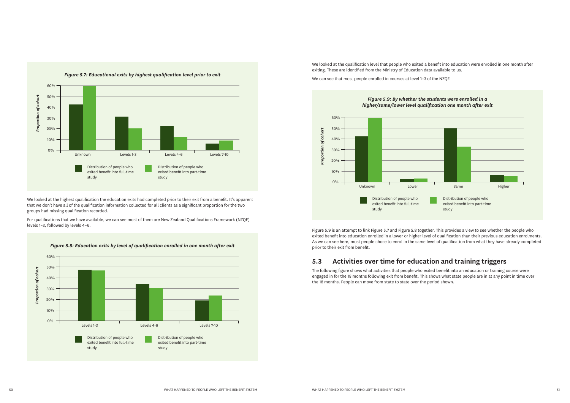![](_page_26_Figure_0.jpeg)

We looked at the highest qualification the education exits had completed prior to their exit from a benefit. It's apparent that we don't have all of the qualification information collected for all clients as a significant proportion for the two groups had missing qualification recorded.

![](_page_26_Figure_3.jpeg)

For qualifications that we have available, we can see most of them are New Zealand Qualifications Framework (NZQF) levels 1–3, followed by levels 4–6.

![](_page_26_Figure_6.jpeg)

We looked at the qualification level that people who exited a benefit into education were enrolled in one month after exiting. These are identified from the Ministry of Education data available to us.

We can see that most people enrolled in courses at level 1–3 of the NZQF.

![](_page_26_Figure_7.jpeg)

Figure 5.9 is an attempt to link Figure 5.7 and Figure 5.8 together. This provides a view to see whether the people who exited benefit into education enrolled in a lower or higher level of qualification than their previous education enrolments. As we can see here, most people chose to enrol in the same level of qualification from what they have already completed prior to their exit from benefit.

# **5.3 Activities over time for education and training triggers**

The following figure shows what activities that people who exited benefit into an education or training course were engaged in for the 18 months following exit from benefit. This shows what state people are in at any point in time over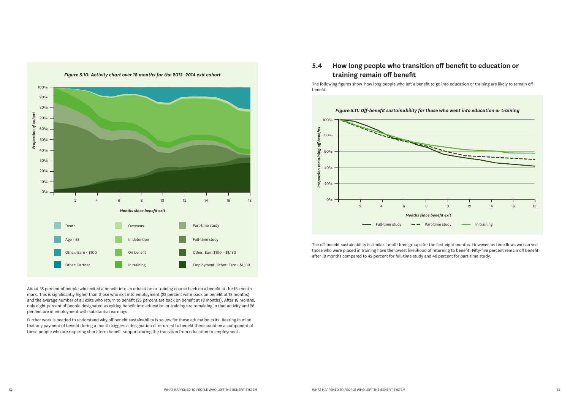![](_page_27_Figure_0.jpeg)

About 35 percent of people who exited a benefit into an education or training course back on a benefit at the 18-month mark. This is significantly higher than those who exit into employment (22 percent were back on benefit at 18 months) and the average number of all exits who return to benefit (25 percent are back on benefit at 18 months). After 18 months, only eight percent of people designated as exiting benefit into education or training are remaining in that activity and 28 percent are in employment with substantial earnings.

Further work is needed to understand why off benefit sustainability is so low for these education exits. Bearing in mind that any payment of benefit during a month triggers a designation of returned to benefit there could be a component of these people who are requiring short-term benefit support during the transition from education to employment.

# **5.4 How long people who transition off benefit to education or training remain off benefit**

The following figures show how long people who left a benefit to go into education or training are likely to remain off benefit.

![](_page_27_Figure_5.jpeg)

The off-benefit sustainability is similar for all three groups for the first eight months. However, as time flows we can see those who were placed in training have the lowest likelihood of returning to benefit. Fifty-five percent remain off benefit after 18 months compared to 42 percent for full-time study and 48 percent for part-time study.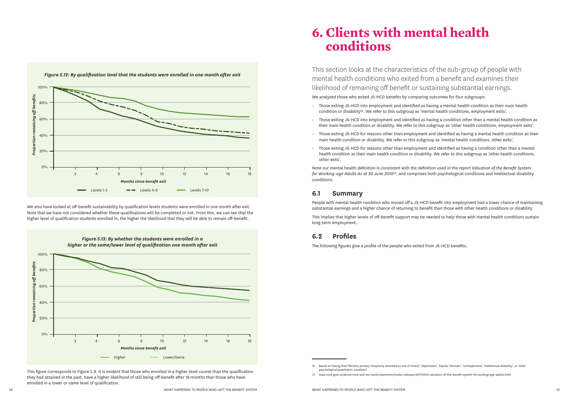![](_page_28_Figure_0.jpeg)

![](_page_28_Figure_2.jpeg)

We also have looked at off-benefit sustainability by qualification levels students were enrolled in one month after exit. Note that we have not considered whether these qualifications will be completed or not. From this, we can see that the higher level of qualification students enrolled in, the higher the likelihood that they will be able to remain off-benefit.

This figure corresponds to Figure 5.9. It is evident that those who enrolled in a higher level course than the qualification they had attained in the past, have a higher likelihood of still being off-benefit after 18 months than those who have enrolled in a lower or same level of qualification.

# **6. Clients with mental health conditions**

This section looks at the characteristics of the sub-group of people with mental health conditions who exited from a benefit and examines their likelihood of remaining off benefit or sustaining substantial earnings.

We analysed those who exited JS-HCD benefits by comparing outcomes for four subgroups:

- Those exiting JS-HCD into employment and identified as having a mental health condition as their main health condition or disability<sup>12</sup>. We refer to this subgroup as 'mental health conditions, employment exits'.
- Those exiting JS-HCD into employment and identified as having a condition other than a mental health condition as their main health condition or disability. We refer to this subgroup as 'other health conditions, employment exits'.
- Those exiting JS-HCD for reasons other than employment and identified as having a mental health condition as their main health condition or disability. We refer to this subgroup as 'mental health conditions, other exits'.
- Those exiting JS-HCD for reasons other than employment and identified as having a condition other than a mental health condition as their main health condition or disability. We refer to this subgroup as 'other health conditions, other exits'.

Note our mental health definition is consistent with the definition used in the report *Valuation of the Benefit System for Working-age Adults As at 30 June 2016*13, and comprises both psychological conditions and intellectual disability conditions.

# **6.1 Summary**

People with mental health condition who moved off a JS-HCD benefit into employment had a lower chance of maintaining substantial earnings and a higher chance of returning to benefit than those with other health conditions or disability.

This implies that higher levels of off-benefit support may be needed to help those with mental health conditions sustain long-term employment.

# **6.2 Profiles**

The following figures give a profile of the people who exited from JS-HCD benefits.

<sup>12</sup> Based on having their Ministry primary incapacity recorded as one of 'stress', 'depression', 'bipolar disorder', 'schizophrenia', 'intellectual disability', or 'other psychological/psychiatric condition'.

<sup>13</sup> www.msd.govt.nz/about-msd-and-our-work/newsroom/media-releases/2017/2016-valuation-of-the-benefit-system-for-working-age-adults.html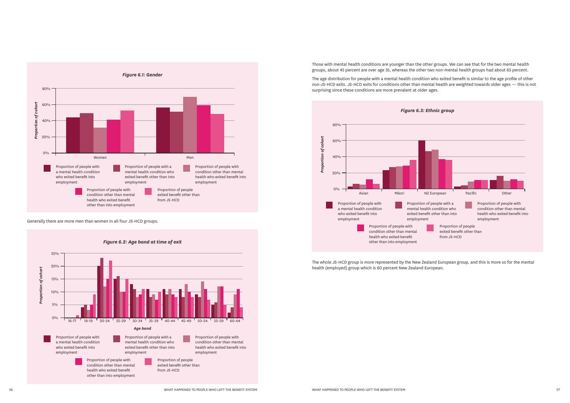![](_page_29_Figure_0.jpeg)

![](_page_29_Figure_2.jpeg)

Generally there are more men than women in all four JS-HCD groups.

Those with mental health conditions are younger than the other groups. We can see that for the two mental health groups, about 45 percent are over age 35, whereas the other two non-mental health groups had about 65 percent.

![](_page_29_Figure_5.jpeg)

The age distribution for people with a mental health condition who exited benefit is similar to the age profile of other non-JS-HCD exits. JS-HCD exits for conditions other than mental health are weighted towards older ages — this is not surprising since these conditions are more prevalent at older ages.

The whole JS-HCD group is more represented by the New Zealand European group, and this is more so for the mental health (employed) group which is 60 percent New Zealand European.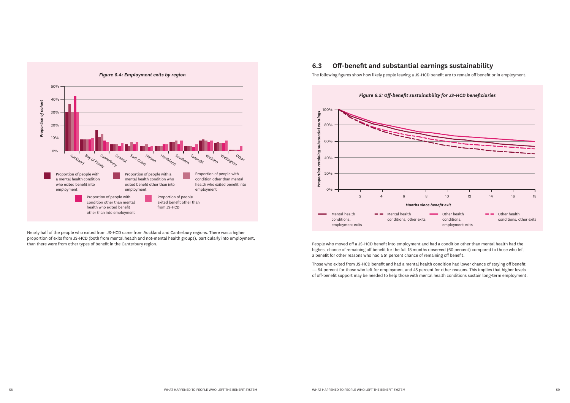![](_page_30_Figure_0.jpeg)

Nearly half of the people who exited from JS-HCD came from Auckland and Canterbury regions. There was a higher proportion of exits from JS-HCD (both from mental health and not-mental health groups), particularly into employment, than there were from other types of benefit in the Canterbury region.

# **6.3 Off-benefit and substantial earnings sustainability**

The following figures show how likely people leaving a JS-HCD benefit are to remain off benefit or in employment.

![](_page_30_Figure_4.jpeg)

People who moved off a JS-HCD benefit into employment and had a condition other than mental health had the highest chance of remaining off benefit for the full 18 months observed (60 percent) compared to those who left a benefit for other reasons who had a 51 percent chance of remaining off benefit.

Those who exited from JS-HCD benefit and had a mental health condition had lower chance of staying off benefit — 54 percent for those who left for employment and 45 percent for other reasons. This implies that higher levels of off-benefit support may be needed to help those with mental health conditions sustain long-term employment.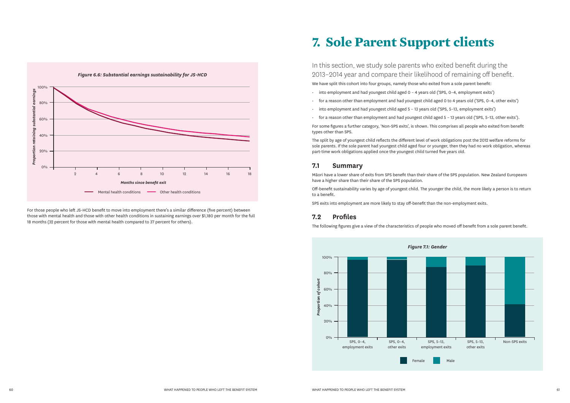![](_page_31_Figure_0.jpeg)

For those people who left JS-HCD benefit to move into employment there's a similar difference (five percent) between those with mental health and those with other health conditions in sustaining earnings over \$1,180 per month for the full 18 months (32 percent for those with mental health compared to 37 percent for others).

# **7. Sole Parent Support clients**

In this section, we study sole parents who exited benefit during the 2013–2014 year and compare their likelihood of remaining off benefit. We have split this cohort into four groups, namely those who exited from a sole parent benefit: • into employment and had youngest child aged 0 – 4 years old ('SPS, 0–4, employment exits') • for a reason other than employment and had youngest child aged 0 to 4 years old ('SPS, 0–4, other exits') • into employment and had youngest child aged 5 – 13 years old ('SPS, 5–13, employment exits') • for a reason other than employment and had youngest child aged 5 – 13 years old ('SPS, 5–13, other exits'). For some figures a further category, 'Non-SPS exits', is shown. This comprises all people who exited from benefit

- 
- 
- 
- 

![](_page_31_Figure_16.jpeg)

types other than SPS.

The split by age of youngest child reflects the different level of work obligations post the 2012 welfare reforms for sole parents. If the sole parent had youngest child aged four or younger, then they had no work obligation, whereas part-time work obligations applied once the youngest child turned five years old.

## **7.1 Summary**

Māori have a lower share of exits from SPS benefit than their share of the SPS population. New Zealand Europeans have a higher share than their share of the SPS population.

Off-benefit sustainability varies by age of youngest child. The younger the child, the more likely a person is to return to a benefit.

SPS exits into employment are more likely to stay off-benefit than the non-employment exits.

# **7.2 Profiles**

The following figures give a view of the characteristics of people who moved off benefit from a sole parent benefit.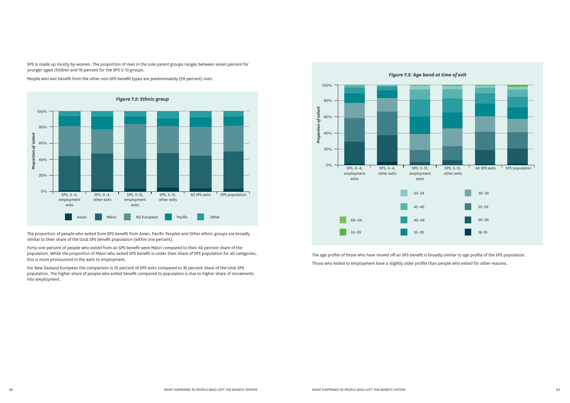![](_page_32_Figure_2.jpeg)

SPS is made up mostly by women. The proportion of men in the sole parent groups ranges between seven percent for younger aged children and 16 percent for the SPS 5–13 groups.

People who exit benefit from the other non-SPS benefit types are predominately (59 percent) men.

The proportion of people who exited from SPS benefit from Asian, Pacific Peoples and Other ethnic groups are broadly similar to their share of the total SPS benefit population (within one percent).

![](_page_32_Figure_6.jpeg)

Forty-one percent of people who exited from an SPS benefit were Māori compared to their 46 percent share of the population. While the proportion of Māori who exited SPS benefit is under their share of SPS population for all categories, this is more pronounced in the exits to employment.

For New Zealand European the comparison is 35 percent of SPS exits compared to 32 percent share of the total SPS population. The higher share of people who exited benefit compared to population is due to higher share of movements into employment.

The age profile of those who have moved off an SPS benefit is broadly similar to age profile of the SPS population. Those who exited to employment have a slightly older profile than people who exited for other reasons.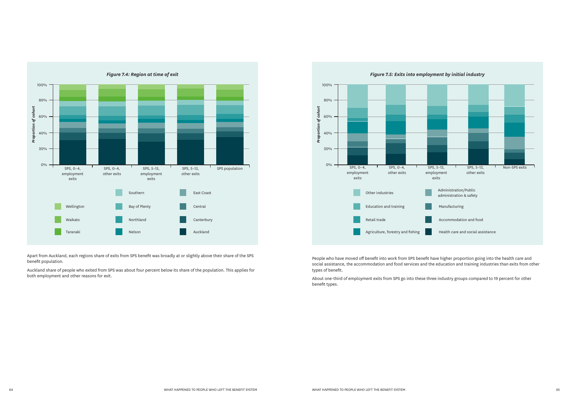![](_page_33_Figure_0.jpeg)

Apart from Auckland, each regions share of exits from SPS benefit was broadly at or slightly above their share of the SPS benefit population.

Auckland share of people who exited from SPS was about four percent below its share of the population. This applies for both employment and other reasons for exit.

![](_page_33_Figure_3.jpeg)

People who have moved off benefit into work from SPS benefit have higher proportion going into the health care and social assistance, the accommodation and food services and the education and training industries than exits from other types of benefit.

About one-third of employment exits from SPS go into these three industry groups compared to 19 percent for other benefit types.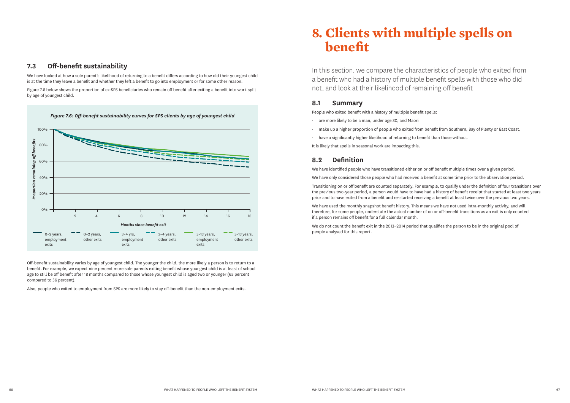### **7.3 Off-benefit sustainability**

![](_page_34_Figure_3.jpeg)

We have looked at how a sole parent's likelihood of returning to a benefit differs according to how old their youngest child is at the time they leave a benefit and whether they left a benefit to go into employment or for some other reason.

Figure 7.6 below shows the proportion of ex-SPS beneficiaries who remain off benefit after exiting a benefit into work split by age of youngest child.

Off-benefit sustainability varies by age of youngest child. The younger the child, the more likely a person is to return to a benefit. For example, we expect nine percent more sole parents exiting benefit whose youngest child is at least of school age to still be off benefit after 18 months compared to those whose youngest child is aged two or younger (65 percent compared to 56 percent).

Also, people who exited to employment from SPS are more likely to stay off-benefit than the non-employment exits.

# **8. Clients with multiple spells on benefit**

In this section, we compare the characteristics of people who exited from a benefit who had a history of multiple benefit spells with those who did not, and look at their likelihood of remaining off benefit

# **8.1 Summary**

People who exited benefit with a history of multiple benefit spells:

- are more likely to be a man, under age 30, and Māori
- make up a higher proportion of people who exited from benefit from Southern, Bay of Plenty or East Coast.
- have a significantly higher likelihood of returning to benefit than those without.

It is likely that spells in seasonal work are impacting this.

# **8.2 Definition**

We have identified people who have transitioned either on or off benefit multiple times over a given period.

We have only considered those people who had received a benefit at some time prior to the observation period.

Transitioning on or off benefit are counted separately. For example, to qualify under the definition of four transitions over the previous two-year period, a person would have to have had a history of benefit receipt that started at least two years prior and to have exited from a benefit and re-started receiving a benefit at least twice over the previous two years.

We have used the monthly snapshot benefit history. This means we have not used intra-monthly activity, and will therefore, for some people, understate the actual number of on or off-benefit transitions as an exit is only counted if a person remains off benefit for a full calendar month.

We do not count the benefit exit in the 2013–2014 period that qualifies the person to be in the original pool of people analysed for this report.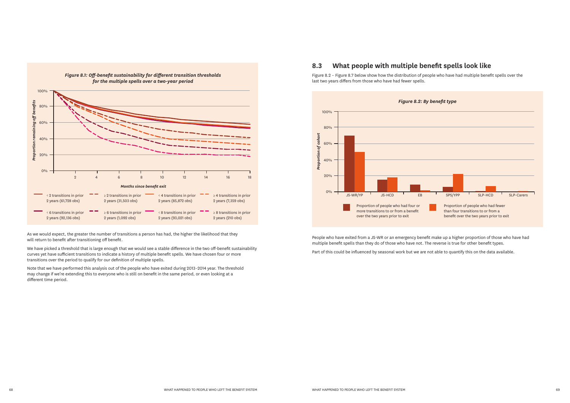As we would expect, the greater the number of transitions a person has had, the higher the likelihood that they will return to benefit after transitioning off benefit.

![](_page_35_Figure_0.jpeg)

![](_page_35_Figure_6.jpeg)

We have picked a threshold that is large enough that we would see a stable difference in the two off-benefit sustainability curves yet have sufficient transitions to indicate a history of multiple benefit spells. We have chosen four or more transitions over the period to qualify for our definition of multiple spells.

Note that we have performed this analysis out of the people who have exited during 2013–2014 year. The threshold may change if we're extending this to everyone who is still on benefit in the same period, or even looking at a different time period.

# **8.3 What people with multiple benefit spells look like**

Figure 8.2 – Figure 8.7 below show how the distribution of people who have had multiple benefit spells over the last two years differs from those who have had fewer spells.

People who have exited from a JS-WR or an emergency benefit make up a higher proportion of those who have had multiple benefit spells than they do of those who have not. The reverse is true for other benefit types.

Part of this could be influenced by seasonal work but we are not able to quantify this on the data available.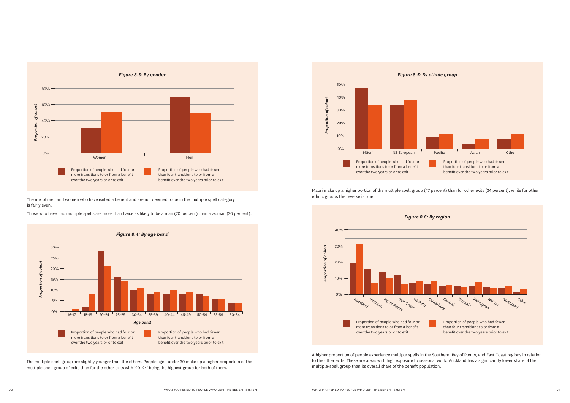![](_page_36_Figure_0.jpeg)

The mix of men and women who have exited a benefit and are not deemed to be in the multiple spell category is fairly even.

![](_page_36_Figure_3.jpeg)

Those who have had multiple spells are more than twice as likely to be a man (70 percent) than a woman (30 percent).

![](_page_36_Figure_5.jpeg)

![](_page_36_Figure_7.jpeg)

Māori make up a higher portion of the multiple spell group (47 percent) than for other exits (34 percent), while for other ethnic groups the reverse is true.

The multiple spell group are slightly younger than the others. People aged under 30 make up a higher proportion of the multiple spell group of exits than for the other exits with '20–24' being the highest group for both of them.

A higher proportion of people experience multiple spells in the Southern, Bay of Plenty, and East Coast regions in relation to the other exits. These are areas with high exposure to seasonal work. Auckland has a significantly lower share of the multiple-spell group than its overall share of the benefit population.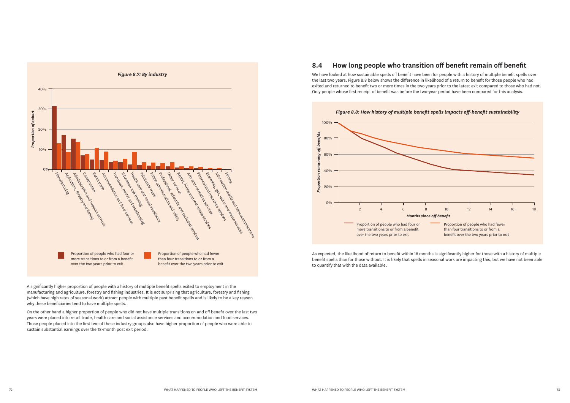![](_page_37_Figure_0.jpeg)

# **8.4 How long people who transition off benefit remain off benefit**

We have looked at how sustainable spells off benefit have been for people with a history of multiple benefit spells over the last two years. Figure 8.8 below shows the difference in likelihood of a return to benefit for those people who had exited and returned to benefit two or more times in the two years prior to the latest exit compared to those who had not. Only people whose first receipt of benefit was before the two-year period have been compared for this analysis.

![](_page_37_Figure_3.jpeg)

As expected, the likelihood of return to benefit within 18 months is significantly higher for those with a history of multiple benefit spells than for those without. It is likely that spells in seasonal work are impacting this, but we have not been able to quantify that with the data available.

A significantly higher proportion of people with a history of multiple benefit spells exited to employment in the manufacturing and agriculture, forestry and fishing industries. It is not surprising that agriculture, forestry and fishing (which have high rates of seasonal work) attract people with multiple past benefit spells and is likely to be a key reason why these beneficiaries tend to have multiple spells.

On the other hand a higher proportion of people who did not have multiple transitions on and off benefit over the last two years were placed into retail trade, health care and social assistance services and accommodation and food services. Those people placed into the first two of these industry groups also have higher proportion of people who were able to sustain substantial earnings over the 18-month post exit period.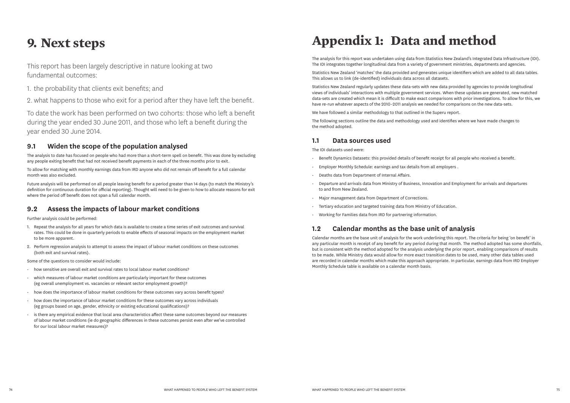# **9. Next steps**

This report has been largely descriptive in nature looking at two fundamental outcomes:

- 1. the probability that clients exit benefits; and
- 2. what happens to those who exit for a period after they have left the benefit.

To date the work has been performed on two cohorts: those who left a benefit during the year ended 30 June 2011, and those who left a benefit during the year ended 30 June 2014.

### **9.1 Widen the scope of the population analysed**

The analysis to date has focused on people who had more than a short-term spell on benefit. This was done by excluding any people exiting benefit that had not received benefit payments in each of the three months prior to exit.

To allow for matching with monthly earnings data from IRD anyone who did not remain off benefit for a full calendar month was also excluded.

Future analysis will be performed on all people leaving benefit for a period greater than 14 days (to match the Ministry's definition for continuous duration for official reporting). Thought will need to be given to how to allocate reasons for exit where the period off benefit does not span a full calendar month.

# **9.2 Assess the impacts of labour market conditions**

Further analysis could be performed:

- 1. Repeat the analysis for all years for which data is available to create a time series of exit outcomes and survival rates. This could be done in quarterly periods to enable effects of seasonal impacts on the employment market to be more apparent.
- 2. Perform regression analysis to attempt to assess the impact of labour market conditions on these outcomes (both exit and survival rates).

Some of the questions to consider would include:

- how sensitive are overall exit and survival rates to local labour market conditions?
- which measures of labour market conditions are particularly important for these outcomes (eg overall unemployment vs. vacancies or relevant sector employment growth)?
- how does the importance of labour market conditions for these outcomes vary across benefit types?
- how does the importance of labour market conditions for these outcomes vary across individuals (eg groups based on age, gender, ethnicity or existing educational qualifications)?
- is there any empirical evidence that local area characteristics affect these same outcomes beyond our measures of labour market conditions (ie do geographic differences in these outcomes persist even after we've controlled for our local labour market measures)?

# **Appendix 1: Data and method**

The analysis for this report was undertaken using data from Statistics New Zealand's Integrated Data Infrastructure (IDI). The IDI integrates together longitudinal data from a variety of government ministries, departments and agencies.

Statistics New Zealand 'matches' the data provided and generates unique identifiers which are added to all data tables. This allows us to link (de-identified) individuals data across all datasets.

Statistics New Zealand regularly updates these data-sets with new data provided by agencies to provide longitudinal views of individuals' interactions with multiple government services. When these updates are generated, new matched data-sets are created which mean it is difficult to make exact comparisons with prior investigations. To allow for this, we have re-run whatever aspects of the 2010–2011 analysis we needed for comparisons on the new data-sets.

We have followed a similar methodology to that outlined in the Superu report.

The following sections outline the data and methodology used and identifies where we have made changes to the method adopted.

#### **1.1 Data sources used**

The IDI datasets used were:

- Benefit Dynamics Datasets: this provided details of benefit receipt for all people who received a benefit.
- Employer Monthly Schedule: earnings and tax details from all employers .
- Deaths data from Department of Internal Affairs.
- Departure and arrivals data from Ministry of Business, Innovation and Employment for arrivals and departures to and from New Zealand.
- Major management data from Department of Corrections.
- Tertiary education and targeted training data from Ministry of Education.
- Working for Families data from IRD for partnering information.

# **1.2 Calendar months as the base unit of analysis**

Calendar months are the base unit of analysis for the work underlining this report. The criteria for being 'on benefit' in any particular month is receipt of any benefit for any period during that month. The method adopted has some shortfalls, but is consistent with the method adopted for the analysis underlying the prior report, enabling comparisons of results to be made. While Ministry data would allow for more exact transition dates to be used, many other data tables used are recorded in calendar months which make this approach appropriate. In particular, earnings data from IRD Employer Monthly Schedule table is available on a calendar month basis.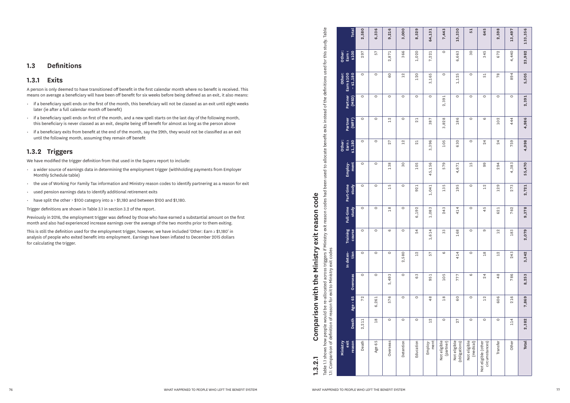### **1.3 Definitions**

#### **1.3.1 Exits**

A person is only deemed to have transitioned off benefit in the first calendar month where no benefit is received. This means on average a beneficiary will have been off benefit for six weeks before being defined as an exit, it also means:

- if a beneficiary spell ends on the first of the month, this beneficiary will not be classed as an exit until eight weeks later (ie after a full calendar month off benefit)
- if a beneficiary spell ends on first of the month, and a new spell starts on the last day of the following month, this beneficiary is never classed as an exit, despite being off benefit for almost as long as the person above
- if a beneficiary exits from benefit at the end of the month, say the 29th, they would not be classified as an exit until the following month, assuming they remain off benefit

## **1.3.2 Triggers**

We have modified the trigger definition from that used in the Superu report to include:

Table 1.1 shows how people would be re-allocated across triggers if Ministry exit reason codes had been used to allocate benefit exits instead of the definitions used for this study. Table w people would be re-allocated across triggers if Ministry exit reason codes had been used to allocate benefit exits instead of the definitions used for this study. Table<br>Telefinition of reason for exit to Ministry exit co **Other: Earn < Earn \$100 Other:**  Earn Partner **Partner Partner (WFF) Other: Earn ≥ \$1,180** Employ**tion Training course Full-time study Part-time study Employ- ment** time Part-1 Full-time Training 1.1: Comparison of definition of reason for exit to Ministry exit codes In deten-<br>tion **In deten-** $29 < 95$ Death rable 1.1 shows how **Ministry exit**  Comparison of ÷.

- a wider source of earnings data in determining the employment trigger (withholding payments from Employer Monthly Schedule table)
- the use of Working For Family Tax information and Ministry reason codes to identify partnering as a reason for exit
- used pension earnings data to identify additional retirement exits
- have split the other > \$100 category into a > \$1,180 and between \$100 and \$1,180.

Trigger definitions are shown in Table 3.1 in section 3.2 of the report.

Previously in 2016, the employment trigger was defined by those who have earned a substantial amount on the first month and also had experienced increase earnings over the average of the two months prior to them exiting.

This is still the definition used for the employment trigger, however, we have included 'Other: Earn ≥ \$1,180' in analysis of people who exited benefit into employment. Earnings have been inflated to December 2015 dollars for calculating the trigger.

**1.3.2.1 Comparison with the Ministry exit reason code**

 $1.3.2.1$ 

Comparison with the Ministry exit reason code

| 2 |  |  |
|---|--|--|
|   |  |  |
|   |  |  |
|   |  |  |
|   |  |  |
|   |  |  |
|   |  |  |

**reason Death Age > 65 Overseas**

**(MSD)**

**– \$1,180**

11,180

**\$100 Total**

 $\frac{a}{b}$ 

2,580

297

 $\circ$ 

 $\circ$ 

 $\circ$ 

 $\overline{\circ}$ 

 $\circ$ 

6,336

57

 $\circ$ 

 $\circ$ 

 $\circ$ 

 $\circ$ 

 $\circ$ 

9,216

2,871

6O

 $\circ$ 

 $\frac{1}{2}$ 

27

138

3,000

366

 $12$ 

 $\circ$ 

 $\circ$ 

 $12$ 

 $30$ 

 $\circ$ 

 $\circ$ 

 $\circ$ 

 $\circ$ 

72

2,211

Death

 $\circ$ 

 $\circ$ 

 $\circ$ 

 $\circ$ 

 $\circ$ 

6,261

 $18$ 

Age 65

 $\circ$ 

 $\frac{8}{1}$ 

 $\circ$ 

 $\circ$ 

5,493

576

 $\circ$ 

**Overseas** 

 $15$ 

 $\circ$ 

 $\circ$ 

2,580

 $\circ$ 

 $\circ$ 

 $\circ$ 

Detention

 $\circ$ 

6,192

 $54$ 

 $12$ 

63

 $\circ$ 

 $\circ$ 

Education

921

8,529

1,020

120

 $\overline{\circ}$ 

 $21$ 

 $21$ 

105

Employ-

| 64,131          | 7,443                     | 15,330                        | 51                        | 645                                   | 2,598          | 13,497  | 133,356      |
|-----------------|---------------------------|-------------------------------|---------------------------|---------------------------------------|----------------|---------|--------------|
| 7,221           | $\circ$                   | 6,663                         | 30                        | 345                                   | 672            | 4,440   | 23,982       |
| 3,165           | $\circ$                   | 1,125                         | $\circ$                   | 51                                    | 78             | 894     | 5,505        |
| $\circ$         | 2,391                     | $\circ$                       | $\circ$                   | $\circ$                               | $\circ$        | $\circ$ | 2,391        |
| 387             | 3,828                     | 186                           | $\circ$                   | $\circ$                               | 102            | 444     | 4,986        |
| 3,396           | 105                       | 630                           | $\circ$                   | 24                                    | $\overline{2}$ | 759     | 4,998        |
| 45,156          | 579                       | 4,671                         | 15                        | 99                                    | 294            | 4,383   | 55,470       |
| 1,041           | 135                       | 195                           | $\circ$                   | 12                                    | 129            | 273     | 2,721        |
| 1,083           | 243                       | 414                           | $\circ$                   | 45                                    | 621            | 762     | 9,378        |
| 1,614           | 33                        | 168                           | $\circ$                   | ၜ                                     | 12             | 183     | 2,079        |
| 57              | ဖ                         | 414                           | $\circ$                   | $\frac{8}{1}$                         | 12             | 243     | 3,342        |
| 951             | 105                       | 777                           | ပ                         | 24                                    | 48             | 786     | 8,253        |
| 48              | $\frac{8}{10}$            | GO                            | $\circ$                   | 12                                    | 606            | 216     | 7,869        |
| 12              | $\circ$                   | 27                            | $\circ$                   | $\circ$                               | $\circ$        | 114     | 2,382        |
| ment<br>Employ- | Not eligible<br>(partner) | Not eligible<br>(obligations) | Not eligible<br>(medical) | Not eligible (other<br>circumstances) | Transfer       | Other   | <b>Total</b> |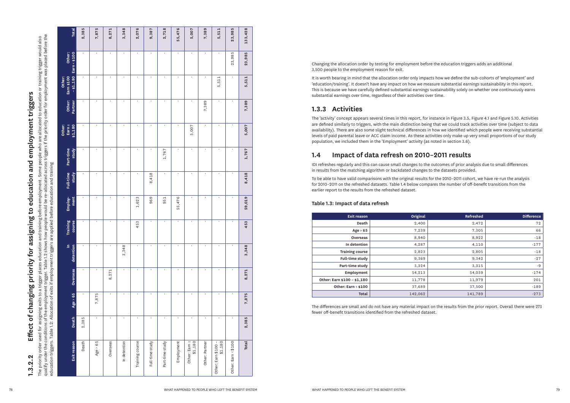| <b>Total</b>                          | 2,385    | 7,875                 | 8,271          | 3,348          | 2,076                             | 9,387          | 2,718        | 5,476<br>ம   | 5,007        | 7,389        | 5,511          | 23,985         | 133,428        |                                                                                                                                                                                                                                                                                                                                                                                                                                                                                                                                                                                                                    |
|---------------------------------------|----------|-----------------------|----------------|----------------|-----------------------------------|----------------|--------------|--------------|--------------|--------------|----------------|----------------|----------------|--------------------------------------------------------------------------------------------------------------------------------------------------------------------------------------------------------------------------------------------------------------------------------------------------------------------------------------------------------------------------------------------------------------------------------------------------------------------------------------------------------------------------------------------------------------------------------------------------------------------|
| Other:<br>< \$100<br>Earn             |          |                       |                |                | $\mathbf{I}$                      | $\blacksquare$ |              |              | $\mathbf{I}$ |              |                | 23,985         | 23,985         | Changing the allocation order by testing for employment before the education triggers adds an additional<br>3,500 people to the employment reason for exit.                                                                                                                                                                                                                                                                                                                                                                                                                                                        |
| m \$1.00<br>\$1,180<br>Other:<br>Earn |          | $\sim$                | $\mathbf{I}$   | $\sim$         | $\sim$                            | $\sim 10^{-1}$ | <b>COL</b>   | $\mathbf{I}$ | $\sim$       | $\mathbf{I}$ | 5,511          | $\mathbf{L}$   | 5,511          | It is worth bearing in mind that the allocation order only impacts how we define the sub-cohorts of 'employment' and<br>'education/training'. It doesn't have any impact on how we measure substantial earnings sustainability in this report.<br>This is because we have carefully defined substantial earnings sustainability solely on whether one continuously earns<br>substantial earnings over time, regardless of their activities over time.                                                                                                                                                              |
| Other:<br>Partner                     |          | $\mathbf{I}$          |                | $\mathbf{I}$   |                                   | $\mathbf{I}$   | $\sim$       |              | $\mathbf{I}$ | 7,389        |                | $\sim$         | 7,389          | 1.3.3 Activities                                                                                                                                                                                                                                                                                                                                                                                                                                                                                                                                                                                                   |
| Other:<br>Earn 2<br>51,180            |          |                       |                |                |                                   |                |              |              | 5,007        |              |                | $\mathbf{I}$   | 5,007          | The 'activity' concept appears several times in this report, for instance in Figure 3.5, Figure 4.1 and Figure 5.10. Activities<br>are defined similarly to triggers, with the main distinction being that we could track activities over time (subject to data<br>availability). There are also some slight technical differences in how we identified which people were receiving substantial<br>levels of paid parental leave or ACC claim income. As these activities only make up very small proportions of our study<br>population, we included them in the 'Employment' activity (as noted in section 3.6). |
| Part-time<br>study                    |          | $\mathbf{I}$          |                | $\mathbf{I}$   | $\mathbf{L}$                      |                | 1,767        |              | $\mathbf{I}$ |              | $\mathbf{I}$   | $\sim$         | 1,767          | Impact of data refresh on 2010-2011 results<br>1.4                                                                                                                                                                                                                                                                                                                                                                                                                                                                                                                                                                 |
|                                       |          |                       |                |                |                                   |                |              |              |              |              |                |                |                | IDI refreshes regularly and this can cause small changes to the outcomes of prior analysis due to small differences<br>in results from the matching algorithm or backdated changes to the datasets provided.                                                                                                                                                                                                                                                                                                                                                                                                       |
| Full-time<br>study                    |          | $\mathbf{I}$          |                | $\mathbf{I}$   |                                   | 8,418          |              |              | $\mathbf{I}$ |              | $\mathbf{I}$   | $\mathbf{L}$   | 8,418          | To be able to have valid comparisons with the original results for the 2010-2011 cohort, we have re-run the analysis<br>for 2010-2011 on the refreshed datasets. Table 1.4 below compares the number of off-benefit transitions from the<br>earlier report to the results from the refreshed dataset.                                                                                                                                                                                                                                                                                                              |
| Employ-<br>ment                       |          | $\mathbf{L}$          |                | $\mathbf{I}$   | $\infty$<br>,62<br>$\blacksquare$ | 969            | 951          | 5,476<br>LO  | $\mathbf{I}$ | $\mathbf{I}$ | $\sim 10^{-1}$ | $\sim$         | 59,019         | Table 1.3: Impact of data refresh                                                                                                                                                                                                                                                                                                                                                                                                                                                                                                                                                                                  |
|                                       |          |                       |                |                |                                   |                | $\mathbf{I}$ |              | $\mathbf{L}$ |              | $\mathbf{I}$   | $\mathbf{H}$ . |                | Original<br>Refreshed<br><b>Exit reason</b><br><b>Difference</b>                                                                                                                                                                                                                                                                                                                                                                                                                                                                                                                                                   |
|                                       |          |                       |                |                |                                   |                |              |              |              |              |                |                |                | 2,472<br>2,400<br>Death                                                                                                                                                                                                                                                                                                                                                                                                                                                                                                                                                                                            |
|                                       |          | $\mathbf{I}$          |                | $\mathbf{I}$   | $\infty$<br>5<br>$\overline{4}$   |                |              |              |              |              |                |                | 453            |                                                                                                                                                                                                                                                                                                                                                                                                                                                                                                                                                                                                                    |
| Training<br>course                    |          |                       |                |                |                                   |                |              |              |              |              |                |                |                | 7,239<br>7,305<br>Age $> 65$                                                                                                                                                                                                                                                                                                                                                                                                                                                                                                                                                                                       |
|                                       |          |                       |                |                |                                   |                |              |              |              |              |                |                |                | 8,922<br>8,940<br>Overseas                                                                                                                                                                                                                                                                                                                                                                                                                                                                                                                                                                                         |
|                                       |          |                       |                | 48<br>$\infty$ |                                   |                |              |              |              |              |                |                |                | In detention<br>4,287<br>4,110                                                                                                                                                                                                                                                                                                                                                                                                                                                                                                                                                                                     |
|                                       |          |                       |                | $\infty$       |                                   |                |              |              |              |              |                |                | 3,348          | 2,823<br>2,805<br><b>Training course</b>                                                                                                                                                                                                                                                                                                                                                                                                                                                                                                                                                                           |
| In<br>detention                       |          |                       |                |                |                                   |                |              |              |              |              |                |                |                | Full-time study<br>9,369<br>9,342<br>Part-time study<br>3,324                                                                                                                                                                                                                                                                                                                                                                                                                                                                                                                                                      |
|                                       |          | $\mathbf{I}$          | $\overline{ }$ |                | $\sim$                            | $\mathbf{I}$   | $\mathbf{L}$ | $\mathbf{I}$ | $\sim$       |              | $\sim 10^{-1}$ | $\mathbf{H}$ . |                | 3,315<br>Employment<br>54,213<br>54,039                                                                                                                                                                                                                                                                                                                                                                                                                                                                                                                                                                            |
| seas                                  |          |                       | 8,27           |                |                                   |                |              |              |              |              |                |                | 8,271          | Other: Earn \$100 - \$1,180<br>11,778<br>11,979                                                                                                                                                                                                                                                                                                                                                                                                                                                                                                                                                                    |
| Over                                  |          |                       |                |                |                                   |                |              |              |              |              |                |                |                | Other: Earn < \$100<br>37,689<br>37,500                                                                                                                                                                                                                                                                                                                                                                                                                                                                                                                                                                            |
| 65                                    |          | 5                     |                | $\mathbf{I}$   | $\mathbf{r}$                      | $\mathbf{I}$   | $\mathbf{L}$ | $\mathbf{I}$ | $\mathbf{I}$ |              | $\mathbf{H}$   | $\mathbf{L}$   |                | $-18$<br>$-177$<br>$-18$<br>$-27$<br>$-174$<br>201<br>$-189$<br>$-273$<br>Total<br>142,062<br>141,789                                                                                                                                                                                                                                                                                                                                                                                                                                                                                                              |
| $\mathbf{A}$<br>Age<br>Death          | 385<br>ി | ,87<br>$\overline{ }$ |                | $\mathbf{I}$   | $\sim$                            | $\mathbf{I}$   | $\mathbf{L}$ |              | $\mathbf{I}$ | $\sim 10$    | $\blacksquare$ | $\mathbf{H}$ . | 7,875<br>2,385 | The differences are small and do not have any material impact on the results from the prior report. Overall there were 273<br>fewer off-benefit transitions identified from the refreshed dataset.                                                                                                                                                                                                                                                                                                                                                                                                                 |

# **1.3.3 Activities**

# **1.4 Impact of data refresh on 2010–2011 results**

## **Table 1.3: Impact of data refresh**

| <b>Exit reason</b>          | Original | Refreshed | <b>Difference</b> |
|-----------------------------|----------|-----------|-------------------|
| Death                       | 2,400    | 2,472     | 72                |
| Age $> 65$                  | 7,239    | 7,305     | 66                |
| <b>Overseas</b>             | 8,940    | 8,922     | $-18$             |
| In detention                | 4,287    | 4,110     | $-177$            |
| <b>Training course</b>      | 2,823    | 2,805     | $-18$             |
| Full-time study             | 9,369    | 9,342     | $-27$             |
| Part-time study             | 3,324    | 3,315     | $-9$              |
| Employment                  | 54,213   | 54,039    | $-174$            |
| Other: Earn \$100 - \$1,180 | 11,778   | 11,979    | 201               |
| Other: Earn < \$100         | 37,689   | 37,500    | $-189$            |
| Total                       | 142,062  | 141,789   | $-273$            |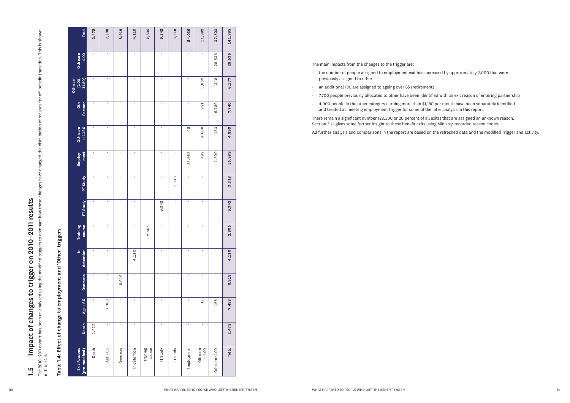| i<br>0<br>0                                   |
|-----------------------------------------------|
| วิ<br>ว<br>ว<br>ว                             |
| t and -                                       |
|                                               |
| anipa                                         |
| Effect of change to employment<br>י<br>נ<br>ד |
| able i                                        |
|                                               |

| <b>Total</b>                       | 2,472      | 7,308                     | 8,919        | 4,110                 | 2,805              | 9,342          | 3,318                     | 54,036         | 11,982                  | 37,503           | 141,795      |
|------------------------------------|------------|---------------------------|--------------|-----------------------|--------------------|----------------|---------------------------|----------------|-------------------------|------------------|--------------|
| Othearn<br>Chearn                  |            | $\mathbf{L}$              | $\mathbf{I}$ | $\sim 10^7$           | $\sim$             | $\sim$         | $\mathbf{L}$              | $\mathbf{I}$   | $\mathbf{I}$            | 28,536           | 28,536       |
| Oth earn<br>[100,<br>1180)         |            | $\sim 10^{-1}$            | <b>COL</b>   | $\sim 10^7$           | $\sim$             | $\mathbf{I}$   | $\sim 10^{-1}$            | $\sim 10^{-1}$ | 5,859                   | 318              | 6,177        |
| Oth<br>Partner                     |            | $\mathbf{L}_{\mathrm{c}}$ | $\mathbf{I}$ | $\sim 10^{-1}$        | $\sim$             | $\mathbf{I}$   | $\mathbf{L}_{\mathrm{c}}$ | $\sim 10^{-1}$ | 951                     | 6,789            | 7,740        |
| Oth earn<br>$>=1180$               |            | $\sim 10^{-1}$            | <b>COL</b>   | $\sim 10^7$           | $\sim$             | $\mathbf{I}$   | $\sim$                    | 48             | 4,668                   | 183              | 4,899        |
| Employ-<br>ment                    |            | $\mathbf{I}$              |              | $\mathbf{I}$          | $\mathbf{I}$       |                |                           | 53,988         | 492                     | 1,509            | 55,989       |
| PT Study                           |            | $\mathbf{L}_{\mathrm{c}}$ | $\mathbf{I}$ | $\sim 10^{-1}$        | $\mathbf{I}$       | $\sim$         | 3,318                     |                | $\mathbf{I}$            |                  | 3,318        |
| FT Study                           | $\sim$     | $\mathbf{L}_{\mathrm{c}}$ | $\sim$       | $\sim 10$             | $\sim$             | 9,342          | $\sim 10^{-1}$            | $\sim 10^{-1}$ | $\sim 10$               | $\sim$ 1 $\sim$  | 9,342        |
| Training<br>course                 |            | $\sim 10^{-1}$            | $\mathbf{I}$ | $\sim 10$             | 2,805              | $\sim$         | $\sim$                    | $\mathbf{I}$   | $\sim 10^{-1}$          | $\mathbf{L}$     | 2,805        |
| In<br>detention                    | $\sim$ 100 | $\sim 10^{-1}$            | <b>COL</b>   | 4,110                 | $\mathbf{H}$       | $\sim 10^{-1}$ | $\sim 10^{-1}$            | $\sim 10^{-1}$ | $\sim 10^{-1}$          | $\sim 10^{-1}$   | 4,110        |
| Overseas                           | $\sim$ 100 | <b>COL</b>                | ၜ<br>8,91    | <b>COL</b>            | $\sim 10^{-1}$     | <b>COLLA</b>   | $\sim 10^{-1}$            | <b>COLLEGE</b> | <b>COL</b>              | $\mathbf{H}$     | 8,919        |
| 65<br>$\boldsymbol{\wedge}$<br>Age |            | ,308<br>$\overline{ }$    |              | $\sim$                | $\mathbf{I}$       | $\sim$         | $\sim$                    | <b>COL</b>     | 12                      | 168              | 7,488        |
| Death                              | 2,472      | $\sim$                    |              | $\sim 10^{-1}$        | $\sim$ 1 $\sim$    | $\mathbf{I}$   | $\sim 10^{-1}$            | <b>COL</b>     | $\sim 10^{-1}$          | $\mathbf{I}$     | 2,472        |
| Exit Reasons<br>(pre-modified)     | Death      | 65<br>Age >               | Overseas     | detention<br>$\equiv$ | Training<br>course | Study<br>匸     | Study<br>F                | Employment     | th earn<br>>=100<br>oth | earn <100<br>oth | <b>Total</b> |

- the number of people assigned to employment exit has increased by approximately 2,000 that were previously assigned to other
- an additional 180 are assigned to ageing over 65 (retirement)
- 7,700 people previously allocated to other have been identified with an exit reason of entering partnership
- 4,900 people in the other category earning more than \$1,180 per month have been separately identified and treated as meeting employment trigger for some of the later analysis in this report.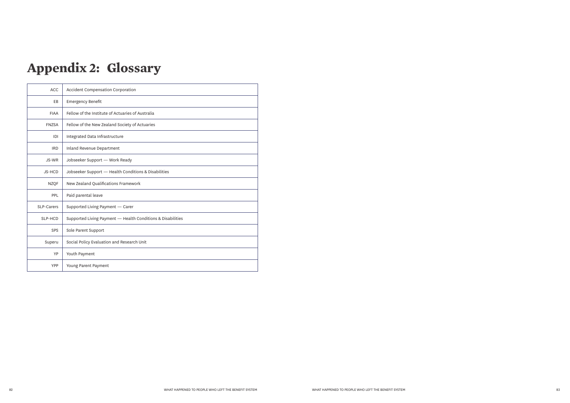# **Appendix 2: Glossary**

| <b>ACC</b>   | <b>Accident Compensation Corporation</b>                    |
|--------------|-------------------------------------------------------------|
| EB           | <b>Emergency Benefit</b>                                    |
| <b>FIAA</b>  | Fellow of the Institute of Actuaries of Australia           |
| <b>FNZSA</b> | Fellow of the New Zealand Society of Actuaries              |
| D            | Integrated Data Infrastructure                              |
| <b>IRD</b>   | Inland Revenue Department                                   |
| JS-WR        | Jobseeker Support - Work Ready                              |
| JS-HCD       | Jobseeker Support - Health Conditions & Disabilities        |
| <b>NZQF</b>  | New Zealand Qualifications Framework                        |
| <b>PPL</b>   | Paid parental leave                                         |
| SLP-Carers   | Supported Living Payment - Carer                            |
| SLP-HCD      | Supported Living Payment - Health Conditions & Disabilities |
| SPS          | Sole Parent Support                                         |
| Superu       | Social Policy Evaluation and Research Unit                  |
| YP           | Youth Payment                                               |
| YPP          | Young Parent Payment                                        |